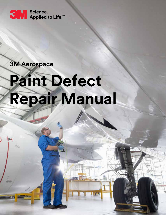

## **3M Aerospace**

S.

# **Paint Defect Repair Manual**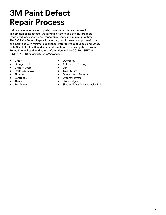## **3M Paint Defect Repair Process**

3M has developed a step-by-step paint defect repair process for 16 common paint defects. Utilizing this system and the 3M products listed produces exceptional, repeatable results in a minimum of time. The **3M Paint Defect Repair Process** is great for seasoned professionals or employees with minimal experience. Refer to Product Labels and Safety Data Sheets for health and safety information before using these products. For additional health and safety information, call 1-800-364-3577 or (651) 737-6501 or visit 3M.com/Aerospace.

- Chips
- Orange Peel
- Craters Deep
- Craters Shallow
- Pinholes
- Scratches
- Thinner Pop
- Rag Marks
- **Overspray**
- Adhesion & Peeling
- Dirt
- Trash & Lint
- Gravitational Defects
- **Eyebrow Rivets**
- Stripe Edges
- Skydrol™ Aviation Hydraulic Fluid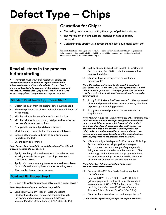## **Defect Type – Chips**



## **Causation for Chips:**

- Caused by personnel contacting the edges of painted surfaces.
- The movement of flight surfaces, opening of access panels, doors, etc.
- Contacting the aircraft with access stands, test equipment, tools, etc.

For small chips located on a pronounced surface edge perform the standard touch up procedure in Process Step 1. Larger chips in high visibility areas will be repainted per the blow-in method, Process Step 3 and buffed per Process Step 5.

## **Read all steps in the process before starting.**

*Note: Any small touch-up in high visibility areas will need to be sanded smooth and buffed using the sand method in Process Step (4) and the buff method in Process Step 5, starting on Step F. For large, highly visible defects repair with the sand/fill Process Step 2, repaint per the blow-in method Process Step (3) and buff per Process Step 5 as required.*

## **Standard Paint Touch-Up, Process Step 1**

- A. Obtain the paint from the original batch number used.
- B. Place the paint on the shaker and shake for a minimum of five minutes.
- C. Mix the paint to the manufacturer's specification.
- D. Mix the paint as follows, paint, catalyst and reducer per the manufacturer's instructions.
- E. Pour paint into a small portable container.
- F. Mark the cup to indicate that the paint is catalyzed.
- G. Select a clean touch-up brush of appropriate size to perform the task.
- H. Ensure paint color match.

#### *Note: Do not allow the paint to exceed the edges of the chipped area, no globbing of paint allowed!*

- I. Apply matching paint in the center of the affected area working towards the edges of the chip, use steady consistent strokes.
- J. Apply paint coats as many times as required to achieve a flush surface that compliments the surrounding area.
- K. Thoroughly clean up the work area.

## **Sand and Fill, Process Step 2**

A. Clean with water or approved solvent and a paper towel.\*

### *Note: Keep the sanding area as limited as possible.*

B. Sand lightly with 3M™ Hookit™ Gold Disc 216U, P320 grit sandpaper. Try to avoid sanding through the primer and exposing bare metal (3M™ Non-Vacuum Random Orbital Sander, 3/16" at 35-40 PSI).

- C. Lightly abrade by hand with Scotch-Brite™ General Purpose Hand Pad 7447 to eliminate gloss in low areas of the defect.
- D. Clean with water or approved solvent and a paper towel.\*

*Note: The surface will need to be chemically treated with 3M™ Surface Pre-Treatment AC-131 or an approved chromated primer adhesion promoter. If sanding exposes bare aluminum a surface pretreatment will have to be applied before applying aircraft primer.*

- E. Apply 3M™ Surface Pre-Treatment AC-131 or approved chromated primer adhesion promoter to any aluminum exposed by the sanding process.
- F. Apply an approved primer to the area treated in step E above.

*Note: Mix 3M™ Advanced Finishing Putty per 3M recommendations of 2% hardener per filler by weight. Using too much hardener may cause staining on white paint. Do not mix the product on a piece of cardboard, cardboard absorbs Styrene in the product and makes it less effective. Spread product out thinly and over a wide area pulling in one direction and then another with a squeegee. Spreading out the product reduces pinholes, traps less air and provides more work time.*

G. Mix and apply a thin layer of 3M™ Advanced Finishing Putty to defect area using a yellow squeegee. Push down on the outside edge of squeegee with 1 finger on each side to leave a thin amount of filler at the edge of the defect and a high spot of filler in the center for sanding. Insure the void is filled and putty covers an area just outside defect area.

#### *Note: Allow 3M™ Advanced Finishing Putty to dry for 15 minutes before sanding.*

- H. Re-apply the 3M™ Dry Guide Coat to highlight the defect area.
- I. Sand with 3M™ Hookit™ Gold Disc 216U, P320 grit sandpaper until outline of defect is seen but leave an area of .001-.002 (in thickness) of filler outlining the defect area (3M™ Non-Vacuum Random Orbital Sander, 5/16" at 35-40 PSI).
- J. Clean with approved solvent and a paper towel.\*

*\*Note: When using solvents, extinguish all ignition sources,*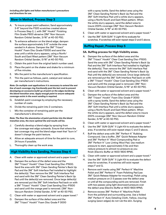*including pilot lights and follow manufacturer's precautions and directions for use.*

## **Blow-In Method, Process Step 3**

- A. To insure proper paint adhesion; Sand approximately 3-6" beyond the P320 scratches created above in Process Step 2, I, with 3M™ Hookit™ Finishing Film Grade P800 abrasive (3M™ Non-Vacuum Random Orbital Sander, 3/16" at 40-50 PSI).
- B. To enhance adhesion on the blend edge; dampen the surface approximately 3-6" outside the area sanded in A above. Dampen the 3M™ Trizact™ Hookit™ Foam Disc Grade P3000 and sand the area until a white slurry appears, using a North/ South and East/West pattern (3M™ Non-Vacuum Random Orbital Sander, 5/16" at 40-50 PSI).
- C. Obtain the paint from the original batch number used.
- D. Place the paint on the shaker and shake for a minimum of five minutes.
- E. Mix the paint to the manufacturer's specification.
- F. Thin the paint as follows, paint, catalyst and reducer per manufacturer's instructions.

*Note: On multiple coat applications it is necessary to extend the wet line of each coverage ring fractionally past the last coat to prevent developing an excessive build-up of paint on the edges bordering the blend transition area. Apply enough paint to ensure adequate coverage exists in the event sanding is required.*

- G. Establish paint coverage by employing the necessary number of coats.
- H. Divide the remaining paint into 2 containers.
- I. Mix the container of remaining paint per the manufacturer's directions.

#### *Note: The finer the atomization of paint particles into the blend transition area, the more optimal the end results will be.*

- J. Carefully develop a blend edge by spraying from the coverage wet edge outwards. Ensure that where the last coverage ring and the blend edge meet that "burn in" doesn't change the paint texture.
- K. Allow an adequate amount of time for the paint to cure, 24 hours if possible.
- L. Thoroughly clean up the work area.

## **High Visibility Area Sanding, Process Step 4**

- A. Clean with water or approved solvent and a paper towel.\*
- B. Dampen the surface of the defect area and the 3M™ Trizact™ Hookit™ Clear Coat Sanding Disc-P1500. Sand the area with 3M™ Clean Sanding Painter's Back Up Pad and the 3M™ Soft Interface Pad installed to highlight the defect(s). Then remove the 3M™ Soft Interface Pad and sand with the 3M™ Clean Sanding Painter's Back Up Pad until the defect(s) are removed. Once large defect(s) are removed put the 3M™ Soft Interface Pad back on with a 3M™ Trizact™ Hookit™ Clear Coat Sanding Disc-P1500 and sand until the orange peel is removed. (3M™ Non-Vacuum Random Orbital Sander, 5/16" at 40-50 PSI).
- C. Clean with water or approved solvent and a paper towel.\*
- D. Dampen the surface of the defect area and the 3M™ Trizact™ Hookit™ Foam Disc Grade P 3000

with a spray bottle. Sand the defect area using the 3M™ Clean Sanding Painter's Back Up Pad and the 3M™ Soft Interface Pad until a white slurry appears, using a North/South and East/West pattern. When the white slurry appears, sand the defect area to insure 200% coverage (3M™ Non-Vacuum Random Orbital Sander, 5/16" at 40-50 PSI).

- E. Clean with water or approved solvent and a paper towel.\*
- F. Use the 3M™ SUN GUN™ II Light Kit to evaluate for scratches. If scratches still exist repeat steps D and E above.

## **Buffing Repair, Process Step 5**

### **5A. Buffing process for High Visibility areas.**

- A. Dampen the surface of the defect area and the 3M™ Trizact™ Hookit™ Clear Coat Sanding Disc-P1500. Sand the area with 3M™ Clean Sanding Painter's Back Up Pad and the 3M™ Soft Interface Pad installed to highlight the defect(s). Then remove the 3M™ Soft Interface Pad and sand with the 3M™ Clean Sanding Painter's Back Up Pad until the defect(s) are removed. Once large defect(s) are removed put the 3M™ Soft Interface Pad back on with a 3M™ Trizact™ Hookit™ Clear Coat Sanding Disc-P1500 and sand until the orange peel is removed. (3M™ Non-Vacuum Random Orbital Sander, 5/16" at 40-50 PSI).
- B. Clean with water or approved solvent and a paper towel.\*
- C. Dampen the surface of the defect area and the 3M™ Trizact™ Hookit™ Foam Disc Grade P 3000 with a spray bottle. Sand the defect area using the 3M™ Clean Sanding Painter's Back Up Pad and the 3M™ Soft Interface Pad until a white slurry appears, using a North/South and East/West pattern. When the white slurry appears, sand the defect area to insure 200% coverage (3M™ Non-Vacuum Random Orbital Sander, 5/16" at 40-50 PSI).
- D. Clean with water or approved solvent and a paper towel.\*
- E. Use the 3M™ SUN GUN™ II Light Kit to evaluate the defect area. If scratches still exist repeat steps C and D above.
- F. Buff the defect area with 3M™ Perfect-It™ Rubbing Compound. Use a buffer, 3M™ Quick Release Adapter and 3M™ Perfect-It™ Wool Compounding Pad or 3M™ Perfect-It™ Low Linting Wool Pad. Use medium pressure to start, approximately 5 lbs and then reduce pressure to almost no pressure as you finish (Electric Buffer at 1400-1800 RPM).
- G. Clean with water or approved solvent and a paper towel.\*
- H. Use the 3M™ SUN GUN™ II Light Kit to evaluate the defect area for scratches. If scratches still exist repeat steps F and G.
- I. Remove swirl marks using 3M™ Perfect-It™ Machine Polish and 3M™ Perfect-It™ Foam Polishing Pad (use 3M™ Quick Release Adapter for mounting). Polish using medium pressure on 2-3 passes over the defect area or until all the compounding swirls are removed. Finish with two passes using light downward pressure over the defect area (Electric Buffer at 1400-1800 RPM).
- J. Remove excess 3M™ Perfect-It™ Machine Polish from the polished and surrounding area. Use a folded 3M™ Perfect-It™ Auto Detailing Cloth, Yellow, insuring surging (sewn edges) do not rub the skin. Surging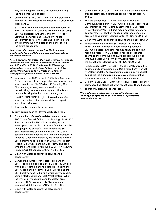may leave a rag mark that is not removable using the final compounding step.

- K. Use the 3M™ SUN GUN™ II Light Kit to evaluate the defect area for scratches. If scratches still exist, repeat steps I and J.
- L. Swirl (Halo) Elimination: Buff the defect repair area with 3M™ Perfect-It™ Ultrafine Machine Polish, using 3M™ Quick Release Adapter, and 3M™ Perfect-It™ Ultrafine Foam Polishing Pad. Apply enough 3M™ Perfect-It™ Ultrafine Machine Polish to insure a wet continuous film exists on the panel during the entire procedure.

#### *Note: When using solvents, extinguish all ignition sources, including pilot lights and follow manufacturer's precautions and directions for use.*

*Note: It will take a fair amount of product to initially wet the pad, there after add small amounts of product to keep the surface wet. Buff at 1400-1800 RPM and insure 200% coverage using medium pressure to start and light pressure to finish. Utilize a North/South and East/West pattern for your buffing pattern (Electric Buffer at 1400-1800 RPM).*

- M. Remove excess 3M™ Perfect-It™ Ultrafine Machine Polish compound from the polished and surrounding area. Use a folded 3M™ Perfect-It™ Detailing Cloth, Blue, insuring surging, (sewn edges), do not rub the skin. Surging may leave a rag mark that is not removable using the final compounding step.
- N. Use 3M™ SUN GUN™ II Light Kit to evaluate defect area, (Halo effect). If scratches still exist repeat steps L and M above.
- O. Thoroughly clean up the work area.

### **5B. Buffing process for lower visibility areas.**

- A. Dampen the surface of the defect area and the 3M™ Trizact™ Hookit™ Clear Coat Sanding Disc-P1500. Sand the area with 3M™ Clean Sanding Painter's Back Up Pad and the 3M™ Soft Interface Pad installed to highlight the defect(s). Then remove the 3M™ Soft Interface Pad and sand with the 3M™ Clean Sanding Painter's Back Up Pad until the defect(s) are removed. Once large defect(s) are removed put the 3M™ Soft Interface Pad back on with a 3M™ Trizact™ Hookit™ Clear Coat Sanding Disc-P1500 and sand until the orange peel is removed. (3M™ Non-Vacuum Random Orbital Sander, 5/16" at 40-50 PSI).
- B. Clean with water or approved solvent and a paper towel.\*
- C. Dampen the surface of the defect area and the 3M™ Trizact™ Hookit™ Foam Disc Grade P3000 disc with a spray bottle. Sand the defect area using the 3M™ Clean Sanding Painter's Back Up Pad and the 3M™ Soft Interface Pad until a white slurry appears, using a North/South and East/West pattern. When the white slurry appears, sand the defect area to insure 200% coverage (3M™ Non-Vacuum Random Orbital Sander, 5/16" at 40-50 PSI).
- D. Clean with water or approved solvent and a paper towel.\*
- E. Use the 3M™ SUN GUN™ II Light Kit to evaluate the defect area for scratches. If scratches still exist repeat steps C and D.
- F. Buff the defect area with 3M™ Perfect-It™ Rubbing Compound. Use a buffer, 3M™ Quick Release Adapter and 3M™ Perfect-It™ Wool Compounding Pad or 3M™ Perfect-It<sup>™</sup> Low Linting Wool Pad. Use medium pressure to start, approximately 5 lbs, then reduce pressure to almost no pressure as you finish (Electric Buffer at 1400-1800 RPM).
- G. Clean with water or approved solvent and a paper towel.\*
- H. Remove swirl marks using 3M™ Perfect-It™ Machine Polish and 3M™ Perfect-It™ Foam Polishing Pad (use 3M™ Quick Release Adapter for mounting). Polish using medium pressure on 2-3 passes over the defect area or until all the compounding swirls are removed. Finish with two passes using light downward pressure over the defect area (Electric Buffer at 1400-1800 RPM).
- I. Remove excess 3M™ Perfect-It™ Machine Polish from the polished and surrounding area. Use a folded 3M™ Perfect-It™ Detailing Cloth, Yellow, insuring surging (sewn edges) do not rub the skin. Surging may leave a rag mark that is not removable using the final compounding step.
- J. Use 3M™ SUN GUN™ II Light Kit to evaluate defect area for scratches. If scratches still exist repeat steps H and I above.
- K. Thoroughly clean up the work area.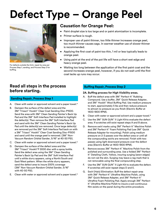## **Defect Type – Orange Peel**



For defects outside the limit, repair by area per Process Step 1, sanding, and Process Step 2 for buffing.

## **Causation for Orange Peel:**

- Paint droplet size is too large and or paint atomization is incomplete.
- Primer surface is rough.
- Improper use of paint thinner, too little thinner increases orange peel, too much thinner causes sags. In warmer weather use of slower thinner is recommended.
- Applying the first coat of paint too thin, 1 mil or less typically leads to orange peel.
- Using paint at the end of the pot life will have a short wet edge and heavy orange peel.
- Waiting too long between the application of the first paint coat and the second increases orange peel, however, if you do not wait until the first coat tacks up runs may occur.

## **Read all steps in the process before starting.**

## **Sanding Repair, Process Step 1**

- A. Clean with water or approved solvent and a paper towel.\*
- B. Dampen the surface of the defect area and the 3M™ Trizact™ Hookit™ Clear Coat Sanding Disc-P1500. Sand the area with 3M™ Clean Sanding Painter's Back Up Pad and the 3M™ Soft Interface Pad installed to highlight the defect(s). Then remove the 3M™ Soft Interface Pad and sand with the 3M™ Clean Sanding Painter's Back Up Pad until the defect(s) are removed. Once large defect(s) are removed put the 3M™ Soft Interface Pad back on with a 3M™ Trizact™ Hookit™ Clear Coat Sanding Disc-P1500 and sand until the orange peel is removed. (3M™ Non-Vacuum Random Orbital Sander, 5/16" at 40-50 PSI).
- C. Clean with water or approved solvent and a paper towel.\*
- D. Dampen the surface of the defect area and the 3M™ Trizact™ Hookit™P 3000 disc with a spray bottle. Sand the defect area using the 3M™ Clean Sanding Painter's Back Up Pad and the 3M™ Soft Interface Pad until a white slurry appears, using a North/South and East/West pattern. When the white slurry appears, sand the defect area to insure 200% coverage (3M™ Non-Vacuum Random Orbital Sander, 5/16" with 40-50 PSI).
- E. Clean with water or approved solvent and a paper towel.\*

## **Buffing Repair, Process Step 2**

## **2A. Buffing process for High Visibility areas.**

- A. Buff the defect area with 3M™ Perfect-It™ Rubbing Compound. Use a buffer, 3M™ Quick Release Adapter, and 3M™ Hookit™ Wool Buffing Pad. Use medium pressure to start, approximately 5 lbs and then reduce pressure to almost no pressure as you finish (Electric Buffer at 1400-1800 RPM).
- B. Clean with water or approved solvent and a paper towel.\*
- C. Use the 3M™ SUN GUN™ II Light Kitto evaluate the defect area. If scratches still exist repeat steps A and B above.
- D. Remove swirl marks using 3M™ Perfect-It™ Machine Polish and 3M™ Perfect-It™ Foam Polishing Pad (use 3M™ Quick Release Adapter for mounting). Polish using medium pressure on 2-3 passes over the defect area or until all the compounding swirls are removed. Finish with two passes using light downward pressure over the defect area (Electric Buffer at 1400-1800 RPM).
- E. Remove excess 3M™ Perfect-It™ Machine Polish from the polished and surrounding area. Use a folded 3M™ Perfect-It™ Detailing Cloth, Yellow, insuring surging (sewn edges) do not rub the skin. Surging may leave a rag mark that is not removable using the final compounding step.
- F. Use the 3M™ SUN GUN™ II Light Kit to evaluate the defect. If scratches still exist repeat steps D and E.
- G. Swirl (Halo) Elimination: Buff the defect repair area with 3M™ Perfect-It™ Ultrafine Machine Polish, using 3M™ Quick Release Adapter, and 3M™ Perfect-It™ Ultrafine Foam Polishing Pad. Apply enough 3M™ Perfect-It™ Ultrafine Machine Polish to insure a wet continuous film exists on the panel during the entire procedure.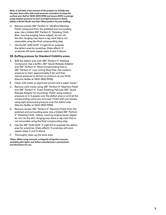*Note: It will take a fair amount of the product to initially wet the pad, there after add small amounts of product to keep the surface wet. Buff at 1400-1800 RPM and insure 200% coverage using medium pressure to start and light pressure to finish. Utilize a North/South and East/West pattern for your buffing.*

- H. Remove excess 3M ™ Perfect-It ™ Ultrafine Machine Polish compound from the polished and surrounding area. Use a folded 3M ™ Perfect-It ™ Detailing Cloth, Blue, insuring surging, (sewn edges), do not rub the skin. Surging may leave a rag mark that is not removable using the final compounding step.
- I. Use the M ™ SUN GUN ™ II Light Kit to evaluate the defect area for scratches, (Halo effect). If scratches still exist repeat steps G and H above.

### **2B. Buffing process for Standard Visibility areas.**

- A. Buff the defect area with 3M ™ Perfect-It ™ Rubbing Compound. Use a buffer, 3M ™ Quick Release Adapter and 3M ™ Perfect-It ™ Wool Compounding Pad or 3M ™ Perfect-It ™ Low Linting Wool Pad. Use medium pressure to start, approximately 5 lbs and then reduce pressure to almost no pressure as you finish (Electric Buffer at 1400-1800 RPM).
- B. Clean with water or approved solvent and a paper towel.\*
- C. Remove swirl marks using 3M ™ Perfect-It ™ Machine Polish and 3M ™ Perfect-It ™ Foam Polishing Pad (use 3M ™ Quick Release Adapter for mounting). Polish using medium pressure on 2-3 passes over the defect area or until all the compounding swirls are removed. Finish with two passes using light downward pressure over the defect area (Electric Buffer at 1400-1800 RPM).
- D. Remove excess 3M ™ Perfect-It ™ Machine Polish from the polished and surrounding area. Use a folded 3M ™ Perfect-It™ Detailing Cloth, Yellow, insuring surging (sewn edges) do not rub the skin. Surging may leave a rag mark that is not removable using the final compounding step.
- E. Use the 3M ™ SUN GUN ™ II Light Kit to evaluate the defect area for scratches, (Halo effect). If scratches still exist repeat steps C and D above.
- F. Thoroughly clean up the work area.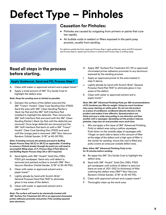## **Defect Type – Pinholes**



## **Causation for Pinholes:**

- Pinholes are caused by outgasing from primers or paints that cure too rapidly.
- Air bubble voids in sealant or fillers exposed in the paint prep process, usually from sanding.

For defects outside the limit, repair per Process Step 1, apply guidecoat, sand, and fill if required and Process Step 2, repaint per the blow-in method and Process Step 3, buffing repair.

## **Read all steps in the process before starting.**

## **Apply Guidecoat, Sand and Fill, Process Step 1**

- A. Clean with water or approved solvent and a paper towel.\*
- B. Apply a small amount of 3M™ Dry Guide Coat to highlight the defect area.

## *Note: Keep the sanding area as limited as possible.*

C. Dampen the surface of the defect area and the 3M™ Trizact™ Hookit™ Clear Coat Sanding Disc-P1500. Sand the area with 3M™ Clean Sanding Painter's Back Up Pad and the 3M™ Soft Interface Pad installed to highlight the defect(s). Then remove the 3M™ Soft Interface Pad and sand with the 3M™ Clean Sanding Painter's Back Up Pad until the defect(s) are removed. Once large defect(s) are removed put the 3M™ Soft Interface Pad back on with a 3M™ Trizact™ Hookit™ Clear Coat Sanding Disc-P1500 and sand until the orange peel is removed. (3M™ Non-Vacuum Random Orbital Sander, 5/16" at 40-50 PSI).

*Note: If sanding removes the pinhole proceed to Buffing Repair Process Step 3A (C) or 3B (C) as applicable. If sanding to remove a Pinhole breaks through the paint you will need to accomplish filling steps, D-P, Process Step 2 Paint Blow-In and Buffing Repair Process Step 3A or 3B if required.*

- D. Sand lightly with 3M™ Hookit™ Gold Disc 216U, P320 grit sandpaper. Sand only until defect is removed and painted surface is smooth (3M™ Non-Vacuum Random Orbital Sander, 5/16" at 35-40 PSI).
- E. Clean with water or approved solvent and a paper towel.\*
- F. Lightly abrade by hand with Scotch-Brite™ General Purpose Hand Pad 7447 to eliminate gloss in low areas of the defect.
- G. Clean with water or approved solvent and a paper towel.\*

*Note: The surface will need to be chemically treated with 3M™ Surface Pre-Treatment AC-131 or an approved chromated primer adhesion promoter and primer if the sanding exposed bare aluminum.*

- H. Apply 3M™ Surface Pre-Treatment AC-131 or approved chromated primer adhesion promoter to any aluminum exposed by the sanding process.
- I. Apply an approved primer to the area treated in step H above.
- J. Lightly abrade by hand with Scotch-Brite™ General Purpose Hand Pad 7447 to eliminate gloss in low areas of the defect.
- K. Clean with water or approved solvent and a paper towel.\*

*Note: Mix 3M™ Advanced Finishing Putty per 3M recommendations of 2% hardener per filler by weight. Using too much hardener may cause staining on white paint. Do not mix the product on a piece of cardboard, cardboard absorbs Styrene in the product and makes it less effective. Spread product out thinly and over a wide area pulling in one direction and then another with a squeegee. Spreading out the product reduces pinholes, traps less air and provides more work time.*

L. Mix and apply a thin layer of 3M™ Advanced Finishing Putty to defect area using a yellow squeegee. Push down on the outside edge of squeegee with 1 finger on each side to leave a thin amount of filler at the edge of the defect and a high spot of filler in the center for sanding. Insure the void is filled and putty covers an area just outside defect area.

#### *Note: Allow 3M™ Advanced Finishing Putty to dry for 15 minutes before sanding.*

- M. Re-apply the 3M™ Dry Guide Coat to highlight the defect area.
- N. Sand with 3M™ Hookit™ Gold Disc 216U, P320 grit sandpaper until outline of defect is seen but leave an area of .001-.002 (in thickness) of filler outlining the defect area (3M™ Non-Vacuum Random Orbital Sander, 5/16" at 35-40 PSI).
- O. Clean with approved solvent and a paper towel.\*
- P. Thoroughly clean up the work area.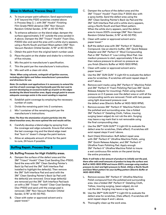## **Blow-In Method, Process Step 2**

- A. To insure proper paint adhesion; Sand approximately 3-6" beyond the P320 scratches created above in Process Step 2, I, with 3M™ Hookit™ Finishing Film Grade P800 abrasive (3M™ Non-Vacuum Random Orbital Sander, 3/16" at 40-50 PSI).
- B. To enhance adhesion on the blend edge; dampen the surface approximately 3-6" outside the area sanded in A above. Dampen the 3M™ Trizact™ Hookit™ Foam Disc, P3000 disc and sand the area until a white slurry appears, using a North/South and East/West pattern (3M™ Non-Vacuum Random Orbital Sander, 5/16" at 40-50 PSI).
- C. Obtain the paint from the original batch number used.
- D. Place the paint on the shaker and shake for a minimum of five minutes.
- E. Mix the paint to manufacturer's specification.
- F. Thin the paint per the manufacturer's instructions.
- G. Mix well with a clean stir stick.

*\*Note: When using solvents, extinguish all ignition sources, including pilot lights and follow manufacturer's precautions and directions for use.*

*Note: On multiple coat applications it is necessary to extend the wet line of each coverage ring fractionally past the last coat to prevent developing an excessive build-up of paint on the edges bordering the blend transition area. Apply enough paint to ensure adequate coverage exists in the event sanding is required.*

- H. Establish paint coverage by employing the necessary number of coats.
- I. Divide the remaining paint into 2 containers.
- J. Mix 1 container of the remaining paint per the manufacturer's instructions.

*Note: The finer the atomization of paint particles into the blend transition area, the more optimal the end results will be.*

- K. Carefully develop a blend edge by spraying from the coverage wet edge outwards. Ensure that where the last coverage ring and the blend edge meet that "burn in" doesn't change the paint texture.
- L. Allow an adequate amount of time for the paint to cure, 24 hours if possible.

## **Buffing Repair, Process Step 3**

### **3A. Buffing Process for High Visibility areas.**

- A. Dampen the surface of the defect area and the 3M™ Trizact™ Hookit™ Clear Coat Sanding Disc-P1500. Sand the area with 3M™ Clean Sanding Painter's Back Up Pad and the 3M™ Soft Interface Pad installed to highlight the defect(s). Then remove the 3M™ Soft Interface Pad and sand with the 3M™ Clean Sanding Painter's Back Up Pad until the defect(s) are removed. Once large defect(s) are removed put the 3M™ Soft Interface Pad back on with a 3M™ Trizact™ Hookit™ Clear Coat Sanding Disc-P1500 and sand until the orange peel is removed. (3M™ Non-Vacuum Random Orbital Sander, 5/16" at 40-50 PSI).
- B. Clean with water or approved solvent and a paper towel.\*
- C. Dampen the surface of the defect area and the 3M™ Trizact™ Hookit™ Foam Disc P 3000 disc with a spray bottle. Sand the defect area using the 3M™ Clean Sanding Painter's Back Up Pad and the 3M™ Soft Interface Pad until a white slurry appears, using a North/South and East/West pattern. When the white slurry appears, sand the defect area to insure 200% coverage (3M™ Non-Vacuum Random Orbital Sander, 5/16" at 40-50 PSI).
- D. Clean with water or approved solvent and a paper towel.\*
- E. Buff the defect area with 3M™ Perfect-It™ Rubbing Compound. Use an electric buffer, 3M™ Quick Release Adapter and 3M™ Perfect-It™ Wool Compounding Pad or 3M™ Perfect-It™ Low Linting Wool Pad. Use medium pressure to start, approximately 5 lbs and then reduce pressure to almost no pressure as you finish (Electric Buffer at 1400-1800 RPM).
- F. Clean with water or approved solvent and a paper towel.\*
- G. Use the 3M™ SUN GUN™ II Light Kit to evaluate the defect area for scratches. If scratches still exist repeat steps E and F above.
- H. Remove swirl marks using 3M™ Perfect-It™ Machine Polish and 3M™ Perfect-It™ Foam Polishing Pad (use 3M™ Quick Release Adapter for mounting). Polish using medium pressure on 2-3 passes over the defect area or until all the compounding swirls are removed. Finish with two passes using light downward pressure over the defect area (Electric Buffer at 1400-1800 RPM).
- I. Remove excess 3M™ Perfect-It™ Machine Polish from the polished and surrounding area. Use a folded 3M™ Perfect-It™ Detailing Cloth, Yellow, insuring surging (sewn edges) do not rub the skin. Surging may leave a rag mark that is not removable using the final compounding step.
- J. Use the 3M™ SUN GUN™ II Light Kit to evaluate the defect area for scratches, (Halo effect). If scratches still exist repeat steps H and I above.
- K. Swirl (Halo) Elimination: Buff defect repair area with 3M™ Perfect-It™ Ultrafine Machine Polish, using 3M™ Quick Release Adapter, and 3M™ Perfect-It™ Ultrafine Foam Polishing Pad. Apply enough 3M™ Perfect-It™ Ultrafine Machine Polish to insure a wet continuous film exists on the panel during the entire procedure.

*Note: It will take a fair amount of product to initially wet the pad, there after add small amounts of product to keep the surface wet. Buff at 1400-1800 RPM and insure 200% coverage using medium pressure to start and light pressure to finish. Utilize a North/South and East/West pattern for your buffing pattern (Electric Buffer at 1400-1800 RPM).*

- L. Remove excess 3M™ Perfect-It™ Ultrafine Machine Polish compound from the polished and surrounding area. Use a folded 3M™ Perfect-It™ Detailing Cloth, Yellow, insuring surging, (sewn edges), do not rub the skin. Surging may leave a rag mark.
- M. Use the 3M™ SUN GUN™ II Light Kit to evaluate the defect area for scratches, (Halo effect). If scratches still exist repeat steps K and L above.
- N. Thoroughly clean up the work area.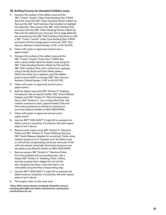### **3B. Buffing Process for Standard Visibility areas.**

- A. Dampen the surface of the defect area and the 3M ™ Trizact ™ Hookit ™ Clear Coat Sanding Disc-P1500. Sand the area with 3M ™ Clean Sanding Painter's Back Up Pad and the 3M ™ Soft Interface Pad installed to highlight the defect(s). Then remove the 3M ™ Soft Interface Pad and sand with the 3M ™ Clean Sanding Painter's Back Up Pad until the defect(s) are removed. Once large defect(s) are removed put the 3M ™ Soft Interface Pad back on with a 3M™ Trizact™ Hookit™ Clear Coat Sanding Disc-P1500 and sand until the orange peel is removed. (3M ™ Non-Vacuum Random Orbital Sander, 5/16" at 40-50 PSI).
- B. Clean with water or approved solvent and a paper towel.\*
- C. Dampen the surface of the defect area and the 3M™ Trizact™ Hookit™ Foam Disc P 3000 disc with a spray bottle. Sand the defect area using the 3M ™ Clean Sanding Painter's Back Up Pad and the 3M ™ Soft Interface Pad until a white slurry appears, using a North/South and East/West pattern. When the white slurry appears, sand the defect area to insure 200% coverage (3M ™ Non-Vacuum Random Orbital Sander, 5/16" at 40-50 PSI).
- D. Clean with water or approved solvent and a paper towel.\*
- E. Buff the defect area with 3M ™ Perfect-It ™ Rubbing Compound. Use an electric buffer, 3M ™ Quick Release Adapter and 3M ™ Perfect-It ™ Wool Compounding Pad or 3M<sup>™</sup> Perfect-It<sup>™</sup> Low Linting Wool Pad. Use medium pressure to start, approximately 5 lbs and then reduce pressure to almost no pressure as you finish (Electric Buffer at 1400-1800 RPM).
- F. Clean with water or approved solvent and a paper towel.\*
- G. Use the 3M™ SUN GUN™ II Light Kit to evaluate the defect area for scratches. If scratches still exist repeat steps E and F above.
- H. Remove swirl marks using 3M ™ Perfect-It ™ Machine Polish and 3M™ Perfect-It™ Foam Polishing Pad (use 3M ™ Quick Release Adapter for mounting). Polish using medium pressure on 2-3 passes over the defect area or until all the compounding swirls are removed. Finish with two passes using light downward pressure over the defect area (Electric Buffer at 1400-1800 RPM).
- I. Remove excess 3M ™ Perfect-It ™ Machine Polish from the polished and surrounding area. Use a folded 3M ™ Perfect-It ™ Detailing Cloth, Yellow, insuring surging (sewn edges) do not rub the skin. Surging may leave a rag mark that is not removable using the final compounding step.
- J. Use the 3M™ SUN GUN™ II Light Kit to evaluate the defect area for scratches. If scratches still exist repeat steps H and I above.
- K. Thoroughly clean up the work area.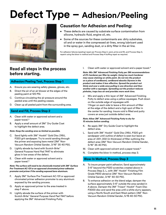## **Defect Type – Adhesion/Peeling**



## **Causation for Adhesion and Peeling:**

- These defects are caused by substrate surface contamination from silicone, hydraulic fluid, engine oil, etc.
- Some of the sources for these contaminants are: dirty substrates, oil and or water in the compressed air lines, wrong lubricant used in the spray gun, sanding dust, or a dirty filter in the air line.

For adhesion failures (peeling) repair per Process Step 2, sand, prime and fill, and Process Step 3, repaint using the blow-in method and Process Step 4 buffing repair as required.

## **Read all steps in the process before starting.**

## **Adhesion/Peeling Test, Process Step 1**

- A. Ensure you are wearing safety glasses, gloves, etc.
- B. Direct the air of an air blower at the edges of the peeling paint at 120 PSI.
- C. Continue circulating the air pressure around the peeled area until the peeling ceases.
- D. Clean up all peeled paint from the surrounding area.

## **Sand and Fill, Process Step 2**

- A. Clean with water or approved solvent and a paper towel.\*
- B. Apply a small amount of 3M™ Dry Guide Coat to highlight the defect area.

### *Note: Keep the sanding area as limited as possible.*

- C. Sand lightly with 3M™ Hookit™ Gold Disc 216U, P320 grit sandpaper. Try to avoid sanding through the primer and exposing bare metal (3M™ Non-Vacuum Random Orbital Sander, 3/16" 35-40 PSI).
- D. Lightly abrade by hand with Scotch-Brite™ General Purpose Hand Pad 7447 to eliminate gloss in low areas of the defect.
- E. Clean with water or approved solvent and a paper towel.\*

#### *Note: The surface will need to be chemically treated with 3M™ Surface Pre-Treatment AC-131 or an approved chromated primer adhesion promoter and primer if the sanding exposed bare aluminum.*

- F. Apply 3M™ Surface Pre-Treatment AC-131 or approved chromated primer adhesion promoter to any aluminum exposed by the sanding process.
- G. Apply an approved primer to the area treated in step F above.
- H. Lightly abrade the surface of the primer with Scotch-Brite™ General Purpose Hand Pad 7447 before applying the 3M™ Advanced Finishing Putty.

I. Clean with water or approved solvent and a paper towel.\*

*Note: Mix 3M™ Advanced Finishing Putty per 3M recommendations of 2% hardener per filler by weight. Using too much hardener may cause staining on white paint. Do not mix the product on a piece of cardboard, cardboard absorbs Styrene in the product and makes it less effective. Spread the product out thinly and over a wide area pulling in one direction and then another with a squeegee. Spreading out the product reduces pinholes, traps less air and provides more work time.*

J. Mix and apply a thin layer of 3M™ Advanced Finishing Putty to defect area using a yellow squeegee. Push down on the outside edge of squeegee with 1 finger on each side to leave a thin amount of filler at the edge of the defect and a high spot of filler in the center for sanding. Insure void is filled and putty covers an area just outside defect area.

#### *Note: Allow 3M™ Advanced Finishing Putty to dry for 15 minutes before sanding.*

- K. Re-apply 3M™ Dry Guide Coat to highlight the defect area.
- L. Sand with 3M™ Hookit™ Gold Disc 216U, P320 grit sandpaper until outline of defect is seen but leave an area of .001-.002 (in thickness) of filler outlining the defect area (3M™ Non-Vacuum Random Orbital Sander, 5/16" 35-40 PSI).
- M. Clean with approved solvent and a paper towel.\*
- N. Complete the blow-in method, process step 3.

## **Blow-In Method, Process Step 3**

- A. To insure proper paint adhesion; Sand approximately 3-6" beyond the P320 scratches created above in Process Step 2, L, with 3M™ Hookit™ Finishing Film Grade P800 abrasive (3M™ Non-Vacuum Random Orbital Sander, 3/16" 40-50 PSI).
- B. To enhance adhesion on the blend edge; dampen the surface approximately 3-6" outside the area sanded in A above. Dampen the 3M™ Trizact™ Hookit™ Foam Disc P3000 disc and sand the area until a white slurry appears, using a North/South and East/West pattern (3M™ Non-Vacuum Random Orbital Sander, 5/16 40-50 PSI).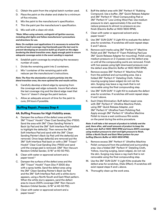- C. Obtain the paint from the original batch number used.
- D. Place the paint on the shaker and shake for a minimum of five minutes.
- E. Mix the paint to the manufacturer's specification.
- F. Thin the paint per the manufacturer's specification.
- G. Mix well with a clean stir stick.

*\*Note: When using solvents, extinguish all ignition sources, including pilot lights and follow manufacturer's precautions and directions for use.*

*Note: On multiple coat applications it is necessary to extend the wet line of each coverage ring fractionally past the last coat to prevent developing an excessive build-up of paint on the edges bordering the blend transition area. Apply enough paint to ensure adequate coverage exists in the event sanding is required.*

- H. Establish paint coverage by employing the necessary number of coats.
- I. Divide the remaining paint into 2 containers.
- J. Mix 1 container of the remaining paint with reducer per the manufacturer's instructions.

#### *Note: The finer the atomization of paint particles into the blend transition area, the more optimal the end results will be.*

- K. Carefully develop a blend edge by spraying from the coverage wet edge outwards. Insure that where the last coverage ring and the blend edge meet that "burn in" doesn't change the paint texture.
- L. Allow an adequate amount of time for the paint to cure, 24 hours if possible.

## **Buffing Repair, Process Step 4**

### **4A. Buffing Process for High Visibility areas.**

- A. Dampen the surface of the defect area and the 3M™ Trizact™ Hookit™ Clear Coat Sanding Disc-P1500. Sand the area with 3M™ Clean Sanding Painter's Back Up Pad and the 3M™ Soft Interface Pad installed to highlight the defect(s). Then remove the 3M™ Soft Interface Pad and sand with the 3M™ Clean Sanding Painter's Back Up Pad until the defect(s) are removed. Once large defect(s) are removed put the 3M™ Soft Interface Pad back on with a 3M™ Trizact™ Hookit™ Clear Coat Sanding Disc-P1500 and sand until the orange peel is removed. (3M™ Non-Vacuum Random Orbital Sander, 5/16" at 40-50 PSI).
- B. Clean with water or approved solvent and a paper towel.\*
- C. Dampen the surface of the defect area and the 3M™ Trizact™ Hookit™ Foam Disc P 3000 disc with a spray bottle. Sand the defect area using the 3M™ Clean Sanding Painter's Back Up Pad and the 3M™ Soft Interface Pad until a white slurry appears, using a North/South and East/West pattern. When the white slurry appears, sand the defect area to insure 200% coverage (3M™ Non-Vacuum Random Orbital Sander, 5/16" at 40-50 PSI).
- D. Clean with water or approved solvent and a paper towel.\*
- E. Buff the defect area with 3M™ Perfect-It™ Rubbing Compound. Use a buffer, 3M™ Quick Release Adapter and 3M™ Perfect-It™ Wool Compounding Pad or 3M™ Perfect-It™ Low Linting Wool Pad. Use medium pressure to start, approximately 5 lbs and then reduce pressure to almost no pressure as you finish (Electric Buffer at 1400-1800 RPM).
- F. Clean with water or approved solvent and a paper towel.\*
- G. Use 3M™ SUN GUN™ II Light Kit to evaluate the defect area for scratches. If scratches still exist repeat steps E and F above.
- H. Remove swirl marks using 3M™ Perfect-It™ Machine Polish and 3M™ Perfect-It™ Foam Polishing Pad (use 3M™ Quick Release Adapter for mounting). Polish using medium pressure on 2-3 passes over the defect area or until all the compounding swirls are removed. Finish with two passes using light downward pressure over the defect area (Electric Buffer at 1400-1800 RPM).
- I. Remove excess 3M™ Perfect-It™ Machine Polish from the polished and surrounding area. Use a folded 3M™ Perfect-It™ Detailing Cloth, Yellow insuring surging (sewn edges) do not rub the skin. Surging may leave a rag mark that is not removable using the final compounding step.
- J. Use 3M™ SUN GUN™ II Light Kit to evaluate the defect area for scratches. If scratches still exist repeat steps H and I above.
- K. Swirl (Halo) Elimination: Buff defect repair area with 3M™ Perfect-It™ Ultrafine Machine Polish, using 3M™ Quick Release Adapter, and 3M™ Perfect-It™ Ultrafine Foam Polishing Pad. Apply enough 3M™ Perfect-It™ Ultrafine Machine Polish to insure a wet continuous film exists on the panel during the entire procedure.

*Note: It will take a fair amount of product to initially wet the pad, there after, add small amounts of product to keep the surface wet. Buff at 1400-1800 RPM and insure 200% coverage using medium pressure to start and light pressure to finish. Utilize a North/South and East/West pattern for your buffing (Electric Buffer at 1400-1800 RPM).*

- L. Remove excess 3M™ Perfect-It™ Ultrafine Machine Polish compound from the polished and surrounding area. Use a folded 3M™ Perfect-It™ Detailing Cloth, Yellow, insuring surging, (sewn edges), do not rub the skin. Surging may leave a rag mark that is not removable using the final compounding step.
- M. Use the 3M™ SUN GUN™ II Light Kitto evaluate the defect area for scratches, (Halo Effect). If scratches still exist repeat steps K and L above.
- N. Thoroughly clean up the work area.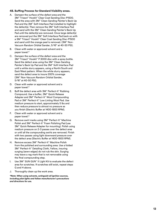### **4B. Buffing Process for Standard Visibility areas.**

- A. Dampen the surface of the defect area and the 3M ™ Trizact ™ Hookit ™ Clear Coat Sanding Disc-P1500. Sand the area with 3M ™ Clean Sanding Painter's Back Up Pad and the 3M ™ Soft Interface Pad installed to highlight the defect(s). Then remove the 3M ™ Soft Interface Pad and sand with the 3M ™ Clean Sanding Painter's Back Up Pad until the defect(s) are removed. Once large defect(s) are removed put the 3M ™ Soft Interface Pad back on with a 3M™ Trizact™ Hookit™ Clear Coat Sanding Disc-P1500 and sand until the orange peel is removed. (3M ™ Non-Vacuum Random Orbital Sander, 5/16" at 40-50 PSI).
- B. Clean with water or approved solvent and a paper towel.\*
- C. Dampen the surface of the defect area and the 3M ™ Trizact ™ Hookit ™ P 3000 disc with a spray bottle. Sand the defect area using the 3M ™ Clean Sanding Painter's Back Up Pad and the 3M ™ Soft Interface Pad until a white slurry appears, using a North/South and East/West pattern. When the white slurry appears, sand the defect area to insure 200% coverage (3M ™ Non-Vacuum Random Orbital Sander, 5/16" at 40-50 PSI).
- D. Clean with water or approved solvent and a paper towel.\*
- E. Buff the defect area with 3M ™ Perfect-It ™ Rubbing Compound. Use a buffer, 3M ™ Quick Release Adapter and 3M ™ Perfect-It ™ Wool Compounding Pad or 3M<sup>™</sup> Perfect-It<sup>™</sup> Low Linting Wool Pad. Use medium pressure to start, approximately 5 lbs and then reduce pressure to almost no pressure as you finish (Electric Buffer at 1400-1800 RPM).
- F. Clean with water or approved solvent and a paper towel.\*
- G. Remove swirl marks using 3M ™ Perfect-It ™ Machine Polish and 3M™ Perfect-It™ Foam Polishing Pad (use 3M ™ Quick Release Adapter for mounting). Polish using medium pressure on 2-3 passes over the defect area or until all the compounding swirls are removed. Finish with two passes using light downward pressure over the defect area (Electric Buffer at 1400-1800 RPM).
- H. Remove excess 3M ™ Perfect-It ™ Machine Polish from the polished and surrounding area. Use a folded 3M ™ Perfect-It ™ Detailing Cloth, Yellow, insuring surging (sewn edges) do not rub the skin. Surging may leave a rag mark that is not removable using the final compounding step.
- I. Use 3M™ SUN GUN™ II Light Kit to evaluate the defect area for scratches. If scratches still exist, repeat steps G and H above.
- J. Thoroughly clean up the work area.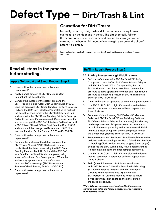## **Defect Type – Dirt/Trash & Lint**



## **Causation for Dirt/Trash:**

Naturally occurring, dirt, trash and lint accumulate on equipment overhead, on the floor and in the air. The dirt eventually falls on the aircraft or in some cases is moved around by spray guns or air currents in the hangar. Dirt contaminants might also be on the aircraft before it's painted.

For defects outside the limit, repair per process Step 1, apply guidecoat and sand and Process Step 2 buff.

## **Read all steps in the process before starting.**

## **Apply Guidecoat and Sand, Process Step 1**

- A. Clean with water or approved solvent and a paper towel.\*
- B. Apply a small amount of 3M™ Dry Guide Coat to highlight the defect area.
- C. Dampen the surface of the defect area and the 3M™ Trizact™ Hookit™ Clear Coat Sanding Disc-P1500. Sand the area with 3M™ Clean Sanding Painter's Back Up Pad and the 3M™ Soft Interface Pad installed to highlight the defect(s). Then remove the 3M™ Soft Interface Pad and sand with the 3M™ Clean Sanding Painter's Back Up Pad until the defect(s) are removed. Once large defect(s) are removed put the 3M™ Soft Interface Pad back on with a 3M™ Trizact™ Hookit™ Clear Coat Sanding Disc-P1500 and sand until the orange peel is removed. (3M™ Non-Vacuum Random Orbital Sander, 5/16" at 40-50 PSI).
- D. Clean with water or approved solvent and a paper towel.\*
- E. Dampen the surface of the defect area and the 3M™ Trizact™ Hookit™ P 3000 disc with a spray bottle. Sand the defect area using the 3M™ Clean Sanding Painter's Back Up Pad and the 3M™ Soft Interface Pad until a white slurry appears, using a North/South and East/West pattern. When the white slurry appears, sand the defect area to insure 200% coverage (3M™ Non-Vacuum Random Orbital Sander, 5/16" at 40-50 PSI).
- F. Clean with water or approved solvent and a paper towel.\*

## **Buffing Repair, Process Step 2**

## **2A. Buffing Process for High Visibility areas.**

- A. Buff the defect area with 3M™ Perfect-It™ Rubbing Compound. Use a buffer, 3M™ Quick Release Adapter and 3M™ Perfect-It™ Wool Compounding Pad or 3M™ Perfect-It™ Low Linting Wool Pad. Use medium pressure to start, approximately 5 lbs and then reduce pressure to almost no pressure as you finish (Electric Buffer at 1400-1800 RPM).
- B. Clean with water or approved solvent and a paper towel.\*
- C. Use 3M™ SUN GUN™ II Light Kit to evaluate the defect area for scratches. If scratches still exist repeat steps A and B above.
- D. Remove swirl marks using 3M™ Perfect-It™ Machine Polish and 3M™ Perfect-It™ Foam Polishing Pad (use 3M™ Quick Release Adapter for mounting). Polish using medium pressure on 2-3 passes over the defect area or until all the compounding swirls are removed. Finish with two passes using light downward pressure over the defect area (Electric Buffer at 1400-1800 RPM).
- E. Remove excess 3M™ Perfect-It™ Machine Polish from the polished and surrounding area. Use a folded 3M™ Perfect-It™ Detailing Cloth, Yellow insuring surging (sewn edges) do not rub the skin. Surging may leave a rag mark that is not removable using the final compounding step.
- F. Use 3M™ SUN GUN™ II Light Kit to evaluate the defect area for scratches. If scratches still exist repeat steps D and E above.
- G. Swirl (Halo) Elimination: Buff defect repair area with 3M™ Perfect-It™ Ultrafine Machine Polish, using 3M™ Quick Release Adapter, and 3M™ Perfect-It™ Ultrafine Foam Polishing Pad. Apply enough 3M™ Perfect-It™ Ultrafine Machine Polish to insure a wet continuous film exists on the panel during the entire procedure.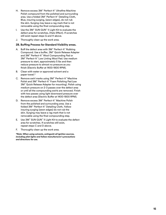- H. Remove excess 3M™ Perfect-It™ Ultrafine Machine Polish compound from the polished and surrounding area. Use a folded 3M™ Perfect-It™ Detailing Cloth, Blue, insuring surging, (sewn edges), do not rub the skin. Surging may leave a rag mark that is not removable using the final compounding step.
- I. Use the 3M™ SUN GUN™ II Light Kit to evaluate the defect area for scratches, (Halo Effect). If scratches still exist repeat steps G and H above.
- J. Thoroughly clean up the work area.

## **2B. Buffing Process for Standard Visibility areas.**

- A. Buff the defect area with 3M™ Perfect-It™ Rubbing Compound. Use a buffer, 3M™ Quick Release Adapter and 3M™ Perfect-It™ Wool Compounding Pad or 3M™ Perfect-It™ Low Linting Wool Pad. Use medium pressure to start, approximately 5 lbs and then reduce pressure to almost no pressure as you finish (Electric Buffer at 1400-1800 RPM).
- B. Clean with water or approved solvent and a paper towel.\*
- C. Remove swirl marks using 3M™ Perfect-It™ Machine Polish and 3M™ Perfect-It™ Foam Polishing Pad (use 3M™ Quick Release Adapter for mounting). Polish using medium pressure on 2-3 passes over the defect area or until all the compounding swirls are removed. Finish with two passes using light downward pressure over the defect area (Electric Buffer at 1400-1800 RPM).
- D. Remove excess 3M™ Perfect-It™ Machine Polish from the polished and surrounding area. Use a folded 3M™ Perfect-It™ Detailing Cloth, Yellow insuring surging (sewn edges) do not rub the skin. Surging may leave a rag mark that is not removable using the final compounding step.
- E. Use 3M™ SUN GUN™ II Light Kit to evaluate the defect area for scratches. If scratches still exist, repeat steps C and D above.
- F. Thoroughly clean up the work area.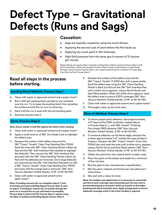## **Defect Type – Gravitational Defects (Runs and Sags)**



## **Causation:**

- Sags are typically caused by using too much thinner.
- Applying the second coat of paint before the first tacks up.
- Applying too much paint in film thickness.
- High fluid pressure from the spray gun in excess of 12 ounces per minute.

Repair defects per process Step 1 using the sanding block method, sand per Process Step 2, buff, per Process Step 4. When the sanding in Process Step 2 results in discoloration or paint break through, sand and fill per Process Step 5, then repaint using the blow-in method in Process Step 3 and then buff per Process Step 4.

## **Read all steps in the process before starting.**

## **Sanding Block Method, Process Step 1**

- A. Clean with water or approved solvent and a paper towel.\*
- B. Rub a 400 grit sanding block parallel to and centered over the run. Try to keep the sanding block from abrading the surface around the run you're removing.
- C. Sand until the run is level with the surrounding paint.
- D. Sand per process step 2.

## **Sand, Process Step 2**

### *Note: Ensure sander is held flat against the defect when sanding.*

- A. Clean with water or approved solvent and a paper towel.\*
- B. Apply a small amount of 3M™ Dry Guide Coat to highlight the defect area.
- C. Dampen the surface of the defect area and the 3M™ Trizact™ Hookit™ Clear Coat Sanding Disc-P1500. Sand the area with 3M™ Clean Sanding Painter's Back Up Pad and the 3M™ Soft Interface Pad installed to highlight the defect(s). Then remove the 3M™ Soft Interface Pad and sand with the 3M™ Clean Sanding Painter's Back Up Pad until the defect(s) are removed. Once large defect(s) are removed put the 3M™ Soft Interface Pad back on with a 3M™ Trizact™ Hookit™ Clear Coat Sanding Disc-P1500 and sand until the orange peel is removed. (3M™ Non-Vacuum Random Orbital Sander, 5/16" at 40-50 PSI).
- D. Clean with water or approved solvent and a paper towel.\*

*Note: If sanding removes the run complete steps E, F and G and then proceed to Buffing Repair Process Step 4, start on step E. If sanding to remove the run breaks through the paint on or around the run you will need to accomplish, Process Step 5, Sand and Fill, Process Step 3, repaint using the Blow-In method and Buffing Repair Process Step 4.*

- E. Dampen the surface of the defect area and the 3M™ Trizact™ Hookit™ P 3000 disc with a spray bottle. Sand the defect area using the 3M™ Clean Sanding Painter's Back Up Pad and the 3M™ Soft Interface Pad until a white slurry appears, using a North/South and East/West pattern. When the white slurry appears, sand the defect area to ensure 200% coverage (3M™ Non-Vacuum Random Orbital Sander, 5/16" at 40-50 PSI).
- F. Clean with water or approved solvent and a paper towel.\*
- G. Thoroughly clean up the work area.

## **Blow-In Method, Process Step 3**

- A. To insure proper paint adhesion; Sand approximately 3-6" beyond the P320 scratches created above in Process Step 5, L, with 3M™ Hookit™ Finishing Film Grade P800 abrasive (3M™ Non-Vacuum Random Orbital Sander, 3/16" at 40-50 PSI).
- B. To enhance adhesion on the blend edge; dampen the surface approximately 3-6" outside the area sanded in A above. Dampen the 3M™ Trizact™ Hookit™ Foam Disc P3000 disc and sand the area until a white slurry appears, using a North/South and East/West pattern (3M™ Non-Vacuum Random Orbital Sander, 5/16" at 40-50 PSI).
- C. Obtain the paint from the original batch number used.
- D. Place the paint on the shaker and shake for a minimum of five minutes.
- E. Mix the paint to the manufacturer's specification.
- F. Mix the paint, catalyst and thinner per manufacturer's instructions.
- G. Mix well with a clean stir stick.

*Note: On multiple coat applications it is necessary to extend the wet line of each coverage ring fractionally past the last coat to prevent developing an excessive build-up of paint on the edges bordering the blend transition area. Apply enough paint to ensure adequate coverage exists in the event sanding is required.*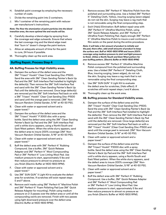- H. Establish paint coverage by employing the necessary number of coats.
- I. Divide the remaining paint into 2 containers.
- J. Mix 1 container of the remaining paint with reducer per manufacturer's instructions.

*Note: The finer the atomization of paint particles into the blend transition area, the more optimal the end results will be.*

- K. Carefully develop a blend edge by spraying from the coverage wet edge outwards. Ensure that where the last coverage ring and the blend edge meet that "burn in" doesn't change the paint texture.
- L. Allow an adequate amount of time for the paint to cure, 24 hours if possible.
- M. Thoroughly clean up the work area.

## **Buffing Repair, Process Step 4**

## **4A. Buffing Process for High Visibility areas.**

- A. Dampen the surface of the defect area and the 3M™ Trizact™ Hookit™ Clear Coat Sanding Disc-P1500. Sand the area with 3M™ Clean Sanding Painter's Back Up Pad and the 3M™ Soft Interface Pad installed to highlight the defect(s). Then remove the 3M™ Soft Interface Pad and sand with the 3M™ Clean Sanding Painter's Back Up Pad until the defect(s) are removed. Once large defect(s) are removed put the 3M™ Soft Interface Pad back on with a 3M™ Trizact™ Hookit™ Clear Coat Sanding Disc-P1500 and sand until the orange peel is removed. (3M™ Non-Vacuum Random Orbital Sander, 5/16" at 40-50 PSI).
- B. Clean with water or approved solvent and a paper towel.\*
- C. Dampen the surface of the defect area and the 3M™ Trizact™ Hookit™ P 3000 disc with a spray bottle. Sand the defect area using the 3M™ Clean Sanding Painter's Back Up Pad and the 3M™ Soft Interface Pad until a white slurry appears, using a North/South and East/West pattern. When the white slurry appears, sand the defect area to insure 200% coverage (3M™ Non-Vacuum Random Orbital Sander, 5/16" at 40-50 PSI).
- D. Clean with water or approved solvent and a paper towel.\*
- E. Buff the defect area with 3M™ Perfect-It™ Rubbing Compound. Use a buffer, 3M™ Quick Release Adapter and 3M™ Perfect-It™ Wool Compounding Pad or 3M™ Perfect-It™ Low Linting Wool Pad. Use medium pressure to start, approximately 5 lbs and then reduce pressure to almost no pressure as you finish (Electric Buffer at 1400-1800 RPM).
- F. Clean with water or approved solvent and a paper towel.\*
- G. Use 3M™ SUN GUN™ II Light Kit to evaluate the defect area for scratches. If scratches still exist repeat steps E and F above.
- H. Remove swirl marks using 3M™ Perfect-It™ Machine Polish and 3M™ Perfect-It™ Foam Polishing Pad (use 3M™ Quick Release Adapter for mounting). Polish using medium pressure on 2-3 passes over the defect area or until all the compounding swirls are removed. Finish with two passes using light downward pressure over the defect area (Electric Buffer at 1400-1800 RPM).
- I. Remove excess 3M™ Perfect-It™ Machine Polish from the polished and surrounding area. Use a folded 3M™ Perfect-It™ Detailing Cloth, Yellow, insuring surging (sewn edges) do not rub the skin. Surging may leave a rag mark that is not removable using the final compounding step.
- J. Swirl (Halo) Elimination: Buff defect repair area with 3M™ Perfect-It™ Ultrafine Machine Polish, using 3M™ Quick Release Adapter, and 3M™ Perfect-It™ Ultrafine Foam Polishing Pad. Apply enough 3M™ Perfect-It™ Ultrafine Machine Polish to insure a wet continuous film exists on the panel during the entire procedure.

*Note: it will take a fair amount of product to initially wet the pad, there after, add small amounts of product to keep the surface wet. Buff at 1400-1800 RPM and insure 200% coverage using medium pressure to start and light pressure to finish. Utilize a North/South and East/West pattern for your buffing pattern. (Electric Buffer at 1400-1800 RPM)*

- K. Remove excess 3M™ Perfect-It™ Ultrafine Machine Polish compound from the polished and surrounding area. Use a folded 3M™ Perfect-It™ Detailing Cloth, Blue, insuring surging, (sewn edges), do not rub the skin. Surging may leave a rag mark that is not removable using the final compounding step.
- L. Use 3M™ SUN GUN™ II Light Kit to evaluate the defect area for scratches, (Halo effect). If scratches still exist repeat steps J and K above.
- M. Thoroughly clean up the work area.

## **4B. Buffing process for Standard Visibility areas.**

- A. Dampen the surface of the defect area and the 3M™ Trizact™ Hookit™ Clear Coat Sanding Disc-P1500. Sand the area with 3M™ Clean Sanding Painter's Back Up Pad and the 3M™ Soft Interface Pad installed to highlight the defect(s). Then remove the 3M™ Soft Interface Pad and sand with the 3M™ Clean Sanding Painter's Back Up Pad until the defect(s) are removed. Once large defect(s) are removed put the 3M™ Soft Interface Pad back on with a 3M™ Trizact™ Hookit™ |Clear Coat Sanding Disc-P1500 and sand until the orange peel is removed. (3M™ Non-Vacuum Random Orbital Sander, 5/16" at 40-50 PSI).
- B. Clean with water or approved solvent and a paper towel.\*
- C. Dampen the surface of the defect area and the 3M™ Trizact™ Hookit™ P3000 disc with a spray bottle. Sand the defect area using the 3M™ Clean Sanding Painter's Back Up Pad and the 3M™ Soft Interface Pad until a white slurry appears, using a North/South and East/West pattern. When the white slurry appears, sand the defect area to insure 200% coverage (3M™ Non-Vacuum Random Orbital Sander, 5/16" at 40-50 PSI).
- D. Clean with water or approved solvent and a paper towel.\*
- E. Buff the defect area with 3M™ Perfect-It™ Rubbing Compound. Use a buffer, 3M™ Quick Release Adapter and 3M™ Perfect-It™ Wool Compounding Pad or 3M™ Perfect-It™ Low Linting Wool Pad. Use medium pressure to start, approximately 5 lbs and then reduce pressure to almost no pressure as you finish (Electric Buffer at 1400-1800 RPM).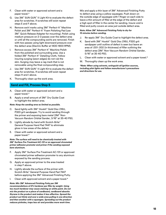- F. Clean with water or approved solvent and a paper towel.\*
- G. Use 3M™ SUN GUN™ II Light Kit to evaluate the defect area for scratches. If scratches still exist repeat steps E and F above.
- H. Remove swirl marks using 3M™ Perfect-It™ Machine Polish and 3M™ Perfect-It™ Foam Polishing Pad (use 3M™ Quick Release Adapter for mounting). Polish using medium pressure on 2-3 passes over the defect area or until all the compounding swirls are removed. Finish with two passes using light downward pressure over the defect area (Electric Buffer at 1400-1800 RPM).
- I. Remove excess 3M™ Perfect-It™ Machine Polish from the polished and surrounding area. Use a folded 3M™ Perfect-It™ Detailing Cloth, Yellow insuring surging (sewn edges) do not rub the skin. Surging may leave a rag mark that is not removable using the final compounding step.
- J. Use 3M™ SUN GUN™ II Light Kit to evaluate the defect area for scratches. If scratches still exist repeat steps H and I above.
- K. Thoroughly clean up the work area.

## **Sand and Fill, Process Step 5**

- A. Clean with water or approved solvent and a paper towel.\*
- B. Apply a small amount of 3M™ Dry Guide Coat to highlight the defect area.

### *Note: Keep the sanding area as limited as possible.*

- C. Sand lightly with 3M™ Hookit™ Gold Disc 216U, P320 grit sandpaper. Try to avoid sanding through the primer and exposing bare metal (3M™ Non-Vacuum Random Orbital Sander, 3/16" at 35-40 PSI).
- D. Lightly abrade by hand with Scotch-Brite™ General Purpose Hand Pad 7447 to eliminate gloss in low areas of the defect.
- E. Clean with water or approved solvent and a paper towel.\*

#### *Note: The surface will need to be chemically treated with 3M™ Surface Pre-Treatment AC-131 or an approved chromated primer adhesion promoter and primer if the sanding exposed bare aluminum.*

- F. Apply 3M™ Surface Pre-Treatment AC-131 or approved chromated primer adhesion promoter to any aluminum exposed by the sanding process.
- G. Apply an approved primer to the area treated in step F above.
- H. Lightly abrade the surface of the primer with Scotch-Brite™ General Purpose Hand Pad 7447 before applying the 3M™ Advanced Finishing Putty.
- I. Clean with approved solvent and a paper towel.\*

### *Note: Mix 3M™ Advanced Finishing Putty per 3M*

*recommendations of 2% hardener per filler by weight. Using too much hardener may cause staining on white paint. Do not mix the product on a piece of cardboard, cardboard absorbs Styrene in the product and makes it less effective. Spread the product out thinly and over a wide area pulling in one direction and then another with a squeegee. Spreading out the product reduces pinholes, traps less air and provides more work time.*

Mix and apply a thin layer of 3M™ Advanced Finishing Putty to defect area using a yellow squeegee. Push down on the outside edge of squeegee with 1 finger on each side to leave a thin amount of filler at the edge of the defect and a high spot of filler in the center for sanding. Insure void is filled and putty covers an area just outside defect area.

#### *Note: Allow 3M™ Advanced Finishing Putty to dry for 15 minutes before sanding.*

- J. Re-apply 3M™ Dry Guide Coat to highlight the defect area.
- K. Sand with 3M™ Hookit™ Gold Disc 216U, P320 grit sandpaper until outline of defect is seen but leave an area of .001-.002 (in thickness) of filler outlining the defect area (3M™ Non-Vacuum Random Orbital Sander, 5/16" at 35-40 PSI).
- L. Clean with water or approved solvent and a paper towel.\*
- M. Thoroughly clean up the work area.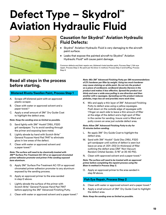## **Defect Type – Skydrol™ Aviation Hydraulic Fluid**



## **Causation for Skydrol™ Aviation Hydraulic Fluid Defects:**

- Skydrol™ Aviation Hydraulic Fluid is very damaging to the aircraft paint surface.
- Leaks that expose the painted aircraft to Skydrol™ Aviation Hydraulic Fluid® will cause paint damage.

Common defects and their repairs are, blistered rivets/swollen paint, Process Step 1, fish eye repair, Process Step 2. Re-paint per the blow-in method, Process Step 3 and buffing, Process Step 4.

## **Read all steps in the process before starting.**

## **Blistered Rivets/Swollen Paint, Process Step 1**

- A. Scrape off blistered paint with an approved plastic scraper.
- B. Clean with water or approved solvent and a paper towel.\*
- C. Apply a small amount of 3M™ Dry Guide Coat to highlight the defect area.

### *Note: Keep the sanding area as limited as possible.*

- D. Sand lightly with 3M™ Hookit™216U, P320 grit sandpaper. Try to avoid sanding through the primer and exposing bare metal.
- E. Lightly abrade by hand with Scotch-Brite™ General Purpose Hand Pad 7447 to eliminate gloss in low areas of the defect.
- F. Clean with water or approved solvent and a paper towel.\*

#### *Note: The surface will need to be chemically treated with 3M™ Surface Pre-Treatment AC-131 or an approved chromated primer adhesion promoter and primer if the sanding exposed bare aluminum.*

- G. Apply 3M™ Surface Pre-Treatment AC-131 or approved chromated primer adhesion promoter to any aluminum exposed by the sanding process.
- H. Apply an approved primer to the area sanded in step D above.
- I. Lightly abrade the surface of the primer with Scotch-Brite™ General Purpose Hand Pad 7447 before applying the 3M™ Advanced Finishing Putty.
- J. Clean with water or approved solvent and a paper towel.\*

*Note: Mix 3M™ Advanced Finishing Putty per 3M recommendations of 2% hardener per filler by weight. Using too much hardener may cause staining on white paint. Do not mix the product on a piece of cardboard, cardboard absorbs Styrene in the product and makes it less effective. Spread the product out thinly and over a wide area pulling in one direction and then another with a squeegee. Spreading out the product reduces pinholes, traps less air and provides more work time.*

K. Mix and apply a thin layer of 3M™ Advanced Finishing Putty to defect area using a yellow squeegee. Push down on the outside edge of squeegee with 1 finger on each side to leave a thin amount of filler at the edge of the defect and a high spot of filler in the center for sanding. Insure void is filled and putty covers an area just outside defect area.

#### *Note: Allow 3M™ Advanced Finishing Putty to dry for 15 minutes before sanding.*

- L. Re-apply 3M™ Dry Guide Coat to highlight the defect area.
- M. Sand with 3M™ Hookit™ Gold Disc 216U, P320 grit sandpaper until outline of defect is seen but leave an area of .001-.002 (in thickness) of filler outlining the defect area (3M™ Non-Vacuum Random Orbital Sander, 5/16" at 35-40 PSI).
- N. Clean with approved solvent and a paper towel.\*

*Note: The surface will need to be treated with an approved primer before completing the repaint process using the Blow-in method in Process Step 3.*

O. Apply an approved primer to the area sanded in step M above.

## **Fish Eye Repair, Process Step 2**

- A. Clean with water or approved solvent and a paper towel.\*
- B. Apply a small amount of 3M™ Dry Guide Coat to highlight the defect area.
- *Note: Keep the sanding area as limited as possible.*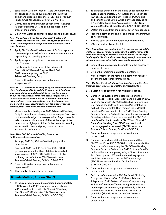- C. Sand lightly with 3M™ Hookit™ Gold Disc 216U, P320 grit sandpaper. Try to avoid sanding through the primer and exposing bare metal (3M™ Non- Vacuum Random Orbital Sander, 3/16" at 35-40 PSI).
- D. Lightly abrade by hand with Scotch-Brite™ General Purpose Hard Pad 7447 to eliminate gloss in low areas of the defect.
- E. Clean with water or approved solvent and a paper towel.\*

*Note: The surface will need to be chemically treated with 3M™ Surface Pre-Treatment AC-131 or an approved chromated primer adhesion promoter and primer if the sanding exposed bare aluminum.*

- F. Apply 3M™ Surface Pre-Treatment AC-131 or approved chromated primer adhesion promoter to any aluminum exposed by the sanding process.
- G. Apply an approved primer to the area sanded in step C above.
- H. Lightly abrade the surface of the primer with Scotch-Brite™ General Purpose Hand Pad 7447 before applying the 3M™ Advanced Finishing Putty.
- I. Clean with water or approved solvent and a paper towel.\*

*Note: Mix 3M™ Advanced Finishing Putty per 3M recommendations of 2% hardener per filler by weight. Using too much hardener may cause staining on white paint. Do not mix the product on a piece of cardboard, cardboard absorbs Styrene in the product and makes it less effective. Spread the product out thinly and over a wide area pulling in one direction and then another with a squeegee. Spreading out the product reduces pinholes, traps less air and provides more work time.*

J. Mix and apply a thin layer of 3M™ Advanced Finishing Putty to defect area using a yellow squeegee. Push down on the outside edge of squeegee with 1 finger on each side to leave a thin amount of filler at the edge of the defect and a high spot of filler in the center for sanding. Insure void is filled and putty covers an area just outside defect area.

### *Note: Allow 3M™ Advanced Finishing Putty to dry for 15 minutes before sanding.*

- K. Re-apply 3M™ Dry Guide Coat to highlight the defect area.
- L. Sand with 3M™ Hookit™ Gold Disc 216U, P320 grit sandpaper until outline of defect is seen but leave an area of .001-.002 (in thickness) of filler outlining the defect area (3M™ Non-Vacuum Random Orbital Sander, 5/16" at 35-40 PSI).
- M. Clean with water or approved solvent and a paper towel.\*
- N. Thoroughly clean up the work area.

## **Blow-In Method, Process Step 3**

A. To insure proper paint adhesion; Sand approximately 3-6" beyond the P320 scratches created above in Process Step 2, L, with 3M™ Hookit™ Finishing Film Grade P800 abrasive (3M™ Non-Vacuum Random Orbital Sander, 3/16" at 40-50 PSI).

- B. To enhance adhesion on the blend edge; dampen the surface approximately 3-6" outside the area sanded in A above. Dampen the 3M™ Trizact™ P3000 disc and sand the area until a white slurry appears, using a North/South and East/West pattern (3M™ Non-Vacuum Random Orbital Sander, 5/16" at 40-50 PSI).
- C. Obtain the paint from the original batch number used.
- D. Place the paint on the shaker and shake for a minimum of five minutes.
- E. Mix the paint per the manufacturer's instructions.
- F. Mix well with a clean stir stick.

*Note: On multiple coat applications it is necessary to extend the wet line of each coverage ring fractionally past the last coat to prevent developing an excessive build-up of paint on the edges bordering the blend transition area. Apply enough paint to ensure adequate coverage exists in the event sanding is required.*

- G. Establish paint coverage by employing the necessary number of coats.
- H. Divide the remaining paint into 2 containers.
- I. Mix 1 container of the remaining paint with reducer per the manufacturer's instructions.

*Note: The finer the atomization of paint particles into the blend transition area, the more optimal the end results will be.*

### **3A. Buffing Process for High Visibility areas.**

- A. Dampen the surface of the defect area and the 3M™ Trizact™ Hookit™ Clear Coat Sanding Disc-P1500. Sand the area with 3M™ Clean Sanding Painter's Back Up Pad and the 3M™ Soft Interface Pad installed to highlight the defect(s). Then remove the 3M™ Soft Interface Pad and sand with the 3M™ Clean Sanding Painter's Back Up Pad until the defect(s) are removed. Once large defect(s) are removed put the 3M™ Soft Interface Pad back on with a 3M™ Trizact™ Hookit™ Clear Coat Sanding Disc-P1500 and sand until the orange peel is removed. (3M™ Non-Vacuum Random Orbital Sander, 5/16" at 40-50 PSI).
- B. Clean with water or approved solvent and a paper towel.\*
- C. Dampen the surface of the defect area and the 3M™ Trizact™ Hookit™ P 3000 disc with a spray bottle. Sand the defect area using the 3M™ Clean Sanding Painter's Back Up Pad and the 3M™ Soft Interface Pad until a white slurry appears, using a North/South and East/West pattern. When the white slurry appears, sand the defect area to insure 200% coverage (3M™ Non-Vacuum Random Orbital Sander, 5/16" at 40-50 PSI).
- D. Clean with water or approved solvent and a paper towel.\*
- E. Buff the defect area with 3M™ Perfect-It™ Rubbing Compound. Use a buffer, 3M™ Quick Release Adapter and 3M™ Perfect-It™ Wool Compounding Pad or 3M™ Perfect-It™ Low Linting Wool Pad. Use medium pressure to start, approximately 5 lbs and then reduce pressure to almost no pressure as you finish (Electric Buffer at 1400-1800 RPM).
- F. Clean with water or approved solvent and a paper towel.\*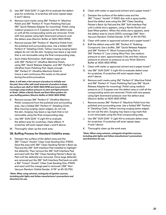- G. Use 3M™ SUN GUN™ II Light Kit to evaluate the defect area for scratches. If scratches still exist repeat steps E and F above.
- H. Remove swirl marks using 3M™ Perfect-It™ Machine Polish and 3M™ Perfect-It™ Foam Polishing Pad (use 3M™ Quick Release Adapter for mounting). Polish using medium pressure on 2-3 passes over the defect area or until all the compounding swirls are removed. Finish with two passes using light downward pressure over the defect area (Electric Buffer at 1400-1800 RPM).
- I. Remove excess 3M™ Perfect-It™ Machine Polish from the polished and surrounding area. Use a folded 3M™ Perfect-It™ Detailing Cloth, Yellow insuring surging (sewn edges) do not rub the skin. Surging may leave a rag mark that is not removable using the final compounding step.
- J. Swirl (Halo) Elimination: Buff defect repair area with 3M™ Perfect-It™ Ultrafine Machine Polish, using 3M™ Quick Release Adapter, and 3M™ Perfect-It™ Ultrafine Foam Polishing Pad. Apply enough 3M™ Perfect-It™ Ultrafine Machine Polish to insure a wet continuous film exists on the panel during the entire procedure.

*Note: it will take a fair amount of product to initially wet the pad, there after add small amounts of product to keep the surface wet. Buff at 1400-1800 RPM and insure 200% coverage using medium pressure to start and light pressure to finish. Utilize a North/South and East/West pattern for your buffing pattern (Electric Buffer at 1400-1800 RPM).*

- K. Remove excess 3M™ Perfect-It™ Ultrafine Machine Polish compound from the polished and surrounding area. Use a folded 3M™ Perfect-It™ Detailing Cloth, Blue insuring surging, (sewn edges), do not rub the skin. Surging may leave a rag mark that is not removable using the final compounding step.
- L. Use 3M™ SUN GUN™ II Light Kit to evaluate the defect area for scratches, (Halo effect). If scratches still exist repeat steps J and K above.
- M. Thoroughly clean up the work area.

## **3B. Buffing Process for Standard Visibility areas.**

A. Dampen the surface of the defect area and the 3M™ Trizact™ Hookit™ Clear Coat Sanding Disc-P1500. Sand the area with 3M™ Clean Sanding Painter's Back Up Pad and the 3M™ Soft Interface Pad installed to highlight the defect(s). Then remove the 3M™ Soft Interface Pad and sand with the 3M™ Clean Sanding Painter's Back Up Pad until the defect(s) are removed. Once large defect(s) are removed put the 3M™ Soft Interface Pad back on with a 3M™ Trizact™ Hookit™ Clear Coat Sanding Disc-P1500 and sand until the orange peel is removed. (3M™ Non-Vacuum Random Orbital Sander, 5/16" at 40-50 PSI).

*\*Note: When using solvents, extinguish all ignition sources, including pilot lights and follow manufacturer's precautions and directions for use.*

- B. Clean with water or approved solvent and a paper towel.\*
- C. Dampen the surface of the defect area and the 3M™ Trizact™ Hookit™ P 3000 disc with a spray bottle. Sand the defect area using the 3M™ Clean Sanding Painter's Back Up Pad and the 3M™ Soft Interface Pad until a white slurry appears, using a North/South and East/West pattern. When the white slurry appears, sand the defect area to insure 200% coverage (3M™ Non-Vacuum Random Orbital Sander, 5/16" at 40-50 PSI).
- D. Clean with water or approved solvent and a paper towel.\*
- E. Buff the defect area with 3M™ Perfect-It™ Rubbing Compound. Use a buffer, 3M™ Quick Release Adapter and 3M™ Perfect-It™ Wool Compounding Pad or 3M™ Perfect-It™ Low Linting Wool Pad. Use medium pressure to start, approximately 5 lbs and then reduce pressure to almost no pressure as you finish (Electric Buffer at 1400-1800 RPM).
- F. Clean with water or approved solvent and a paper towel.\*
- G. Use 3M™ SUN GUN™ II Light Kit to evaluate defect area for scratches. If scratches still exist repeat steps E and F above.
- H. Remove swirl marks using 3M™ Perfect-It™ Machine Polish and 3M™ Perfect-It™ Foam Polishing Pad (use 3M™ Quick Release Adapter for mounting). Polish using medium pressure on 2-3 passes over the defect area or until all the compounding swirls are removed. Finish with two passes using light downward pressure over the defect area (Electric Buffer at 1400-1800 RPM).
- I. Remove excess 3M™ Perfect-It™ Machine Polish from the polished and surrounding area. Use a folded 3M™ Perfect-It™ Detailing Cloth, Yellow insuring surging (sewn edges) do not rub the skin. Surging may leave a rag mark that is not removable using the final compounding step.
- J. Use 3M™ SUN GUN™ II Light Kit to evaluate defect area for scratches. If scratches still exist repeat steps H and I above.
- K. Thoroughly clean up the work area.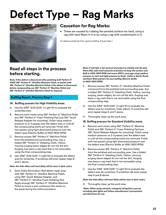## **Defect Type – Rag Marks**



## **Causation for Rag Marks:**

• These are caused by rubbing the painted surface too hard, using a rag with hard fibers in it or by using a rag with contaminants in it.

For defects outside the limit, repair by buffing, Process Step 1.

## **Read all steps in the process before starting.**

*Note: If the defect is discovered after polishing with Perfect-IT 3000 3M™ Perfect-It™ Ultrafine Machine Polish, re-polish with 3M™ Perfect-It™ Ultrafine Machine Polish; if the defect is discovered before compounding use 3M™ Perfect-It™ Machine Polish and 3M™ Perfect-It™ Ultrafine Machine Polish as required.*

## **Buffing Repair, Process Step 1**

## **1A. Buffing process for High Visibility areas.**

- A. Use the 33M™ SUN GUN™ II Light Kit to evaluate the scratched area.
- B. Remove swirl marks using 3M™ Perfect-It™ Machine Polish and 3M™ Perfect-It™ Foam Polishing Pad (use 3M™ Quick Release Adapter for mounting). Polish using medium pressure on 2-3 passes over the defect area or until all the compounding swirls are removed. Finish with two passes using light downward pressure over the defect area (Electric Buffer at 1400-1800 RPM).
- C. Remove excess 3M™ Perfect-It™ Machine Polish from the polished and surrounding area. Use a folded 3M™ Perfect-It™ Detailing Cloth, Yellow, insuring surging (sewn edges) do not rub the skin. Surging may leave a rag mark that is not removable using the final compounding step.
- D. Use 33M™ SUN GUN™ II Light Kit to evaluate the defect area for scratches. If scratches still exist repeat steps B and C above.

### *Note: the Halo effect will most likely still be seen in dark colors.*

E. Swirl (Halo) Elimination: Buff defect repair area with 3M™ Perfect-It™ Ultrafine Machine Polish, using 3M™ Quick Release Adapter, and 3M™ Perfect-It™ Ultrafine Foam Polishing Pad. Apply enough 3M™ Perfect-It™ Ultrafine Machine Polish to insure a wet continuous film exists on the panel during the entire procedure.

*Note: It will take a fair amount of product to initially wet the pad, there after add small amounts of product to keep the surface wet. Buff at 1400-1800 RPM and insure 200% coverage using medium pressure to start and light pressure to finish. Utilize a North/South and East/West pattern for your buffing (Electric Buffer at 1400-1800 RPM).*

- F. Remove excess 3M™ Perfect-It™ Ultrafine Machine Polish compound from the polished and surrounding area. Use a folded 3M™ Perfect-It™ Detailing Cloth, Yellow, insuring surging, (sewn edges), do not rub the skin. Surging may leave a rag mark that is not removable using the final compounding step.
- G. Use the 33M™ SUN GUN™ II Light Kit to evaluate the defect area for scratches, (Halo effect). If scratches still exist repeat steps E and F above.
- H. Thoroughly clean up the work area.

### **1B. Buffing process for Standard Visibility areas.**

- A. Remove swirl marks using 3M™ Perfect-It™ Machine Polish and 3M™ Perfect-It™ Foam Polishing Pad (use 3M™ Quick Release Adapter for mounting). Polish using medium pressure on 2-3 passes over the defect area or until all the compounding swirls are removed. Finish with two passes using light downward pressure over the defect area (Electric Buffer at 1400-1800 RPM).
- B. Remove excess 3M™ Perfect-It™ Machine Polish from the polished and surrounding area. Use a folded 3M™ Perfect-It™ Detailing Cloth, Yellow, insuring surging (sewn edges) do not rub the skin. Surging may leave a rag mark that is not removable using the final compounding step.
- C. Use the 33M™ SUN GUN™ II Light Kit to evaluate the defect area for scratches. If scratches still exist repeat step A and B above.

*Note: the Halo effect will most likely still be seen in dark colors.*

D. Thoroughly clean up the work area.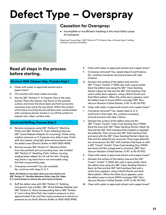## **Defect Type – Overspray**



## **Causation for Overspray:**

• Incomplete or insufficient masking is the most likely cause of overspray.

Repair per Process Step 1, 3M™ Perfect-It™ III Cleaner Clay or Process Step 2, buffing, sanding if required and buffing.

## **Read all steps in the process before starting.**

## **Remove With Cleaner Clay, Process Step 1**

- A. Clean with water or approved solvent and a paper towel.\*
- B. Fill a bucket with clean water and soap.
- C. Dip the 3M™ Perfect-It™ III Cleaner Clay in the soap bucket. Place the cleaner clay block on the painted surface and move the block back and forth across the overspray area using the clay block. When the surface of the block touching the aircraft becomes contaminated with overspray pieces; knead or cut off the surface to expose new, clean, surface area.

## **Sand and Buffing, Process Step 2**

- A. Remove overspray using 3M™ Perfect-It™ Machine Polish and 3M™ Perfect-It™ Foam Polishing Pad (use 3M™ Quick Release Adapter for mounting). Polish using medium pressure on 2-3 passes over defect area. Finish with two passes using light downward pressure over the defect area (Electric Buffer at 1400-1800 RPM).
- B. Remove excess 3M™ Perfect-It™ Machine Polish from the polished and surrounding area. Use a folded 3M™ Perfect-It™ Detailing Cloth, Yellow, insuring surging (sewn edges) do not rub the skin. Surging may leave a rag mark that is not removable using the final compounding step.
- C. Overspray removed? Yes, job complete. No, continue with steps D, E, F.

#### *Note: On blacks or very dark colors you may need to use 3M™ Perfect-It™ Ultrafine Machine Polish, step 2A- Steps E, F, and G below to remove the swirl mark scratches.*

D. Buff the defect area with 3M™ Perfect-It™ Rubbing Compound. Use a buffer, 3M™ Quick Release Adapter and 3M™ Perfect-It™ Wool Compounding Pad or 3M™ Perfect-It™ Low Linting Wool Pad. Use medium pressure to start, approximately 5 lbs and then reduce pressure to almost no pressure as you finish (Electric Buffer at 1400-1800 RPM).

- E. Clean with water or approved solvent and a paper towel.\*
- F. Overspray removed? Yes, repeat steps A and B above. No, continue overspray removal process with step G below.
- G. Dampen the surface of the defect area and the 3M™ Trizact™ Hookit™ P 3000 disc with a spray bottle. Sand the defect area using the 3M™ Clean Sanding Painter's Back Up Pad and the 3M™ Soft Interface Pad until a white slurry appears, using a North/South and East/West pattern. When the white slurry appears, sand the defect area to insure 200% coverage (3M™ Non-Vacuum Random Orbital Sander, 5/16" at 40-50 PSI).
- H. Clean with water or approved solvent and a paper towel.\*
- I. Overspray removed? Yes, repeat steps D, E, A and B and in that order. No, continue overspray removal process with step J below.
- J. Dampen the surface of the defect area and the 3M™ Trizact™ Hookit™ Clear Coat Sanding Disc-P1500. Sand the area with 3M™ Clean Sanding Painter's Back Up Pad and the 3M™ Soft Interface Pad installed to highlight the defect(s). Then remove the 3M™ Soft Interface Pad and sand with the 3M™ Clean Sanding Painter's Back Up Pad until the defect(s) are removed. Once large defect(s) are removed put the 3M™ Soft Interface Pad back on with a 3M™ Trizact™ Hookit™ Clear Coat Sanding Disc-P1500 and sand until the orange peel is removed. (3M™ Non-Vacuum Random Orbital Sander, 5/16" at 40-50 PSI).
- K. Clean with water or approved solvent and a paper towel.\*
- L. Dampen the surface of the defect area and the 3M™ Trizact™ Hookit™ P 3000 disc with a spray bottle. Sand the defect area using the 3M™ Clean Sanding Painter's Back Up Pad and the 3M™ Soft Interface Pad until a white slurry appears, using a North/South and East/ West pattern. When the white slurry appears, sand the defect area to insure 200% coverage (3M™ Non-Vacuum Random Orbital Sander, 5/16" at 40-50 PSI).
- M. Clean with water or approved solvent and a paper towel.\*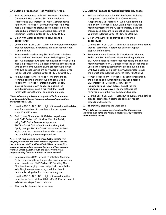## **2A Buffing process for High Visibility Areas.**

- A. Buff the defect area with 3M™ Perfect-It™ Rubbing Compound. Use a buffer, 3M™ Quick Release Adapter and 3M™ Perfect-It™ Wool Compounding Pad or 3M™ Perfect-It™ Low Linting Wool Pad. Use medium pressure to start, approximately 5 lbs and then reduce pressure to almost no pressure as you finish (Electric Buffer at 1400-1800 RPM).
- B. Clean with water or approved solvent and a paper towel.\*
- C. Use the 3M™ SUN GUN™ II Light Kit to evaluate the defect area for scratches. If scratches still exist repeat steps A and B above.
- D. Remove swirl marks using 3M™ Perfect-It™ Machine Polish and 3M™ Perfect-It™ Foam Polishing Pad (use 3M™ Quick Release Adapter for mounting). Polish using medium pressure on 2-3 passes over the defect area or until all the compounding swirls are removed. Finish with two passes using light downward pressure over the defect area (Electric Buffer at 1400-1800 RPM).
- E. Remove excess 3M™ Perfect-It™ Machine Polish from the polished and surrounding area. Use a folded 3M™ Perfect-It™ Detailing Cloth, Yellow insuring surging (sewn edges) do not rub the skin. Surging may leave a rag mark that is not removable using the final compounding step.

#### *\*Note: When using solvents, extinguish all ignition sources, including pilot lights and follow manufacturer's precautions and directions for use.*

- F. Use the 3M™ SUN GUN™ II Light Kit to evaluate the defect area for scratches. If scratches still exist repeat steps C and D above.
- G. Swirl (Halo) Elimination: Buff defect repair area with 3M™ Perfect-It™ Ultrafine Machine Polish, using 3M™ Quick Release Adapter, and 3M™ Perfect-It™ Ultrafine Foam Polishing Pad. Apply enough 3M™ Perfect-It™ Ultrafine Machine Polish to insure a wet continuous film exists on the panel during the entire procedure.

*Note: It will take a fair amount of product to initially wet the pad, there after add small amounts of product to keep the surface wet. Buff at 1400-1800 RPM and insure 200% coverage using medium pressure to start and light pressure to finish. Utilize a North/South and East/West pattern for your buffing.(Electric Buffer at 1400-1800 RPM)*

- H. Remove excess 3M™ Perfect-It™ Ultrafine Machine Polish compound from the polished and surrounding area. Use a folded 3M™ Perfect-It™ Detailing Cloth, Blue insuring surging, (sewn edges), do not rub the skin. Surging may leave a rag mark that is not removable using the final compounding step.
- I. Use the 3M™ SUN GUN™ II Light Kit to evaluate the defect area for scratches, (Halo effect). If scratches still exist repeat steps G and H above.
- J. Thoroughly clean up the work area.

### **2B. Buffing Process for Standard Visibility areas.**

- A. Buff the defect area with 3M™ Perfect-It™ Rubbing Compound. Use a buffer, 3M™ Quick Release Adapter and 3M™ Perfect-It™ Wool Compounding Pad or 3M™ Perfect-It™ Low Linting Wool Pad. Use medium pressure to start, approximately 5 lbs and then reduce pressure to almost no pressure as you finish (Electric Buffer at 1400-1800 RPM).
- B. Clean with water or approved solvent and a paper towel.\*
- C. Use the 3M™ SUN GUN™ II Light Kit to evaluate the defect area for scratches. If scratches still exist repeat steps A and B above.
- D. Remove swirl marks using 3M™ Perfect-It™ Machine Polish and 3M™ Perfect-It™ Foam Polishing Pad (use 3M™ Quick Release Adapter for mounting). Polish using medium pressure on 2-3 passes over the defect area or until all the compounding swirls are removed. Finish with two passes using light downward pressure over the defect area (Electric Buffer at 1400-1800 RPM).
- E. Remove excess 3M™ Perfect-It™ Machine Polish from the polished and surrounding area. Use a folded 3M™ Perfect-It™ Detailing Cloth, Yellow insuring surging (sewn edges) do not rub the skin. Surging may leave a rag mark that is not removable using the final compounding step.
- F. Use the 3M™ SUN GUN™ II Light Kit to evaluate the defect area for scratches. If scratches still exist repeat steps D and E above.
- G. Thoroughly clean up the work area.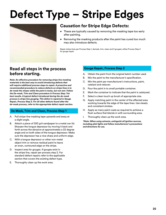## **Defect Type – Stripe Edges**



## **Causation for Stripe Edge Defects:**

- These are typically caused by removing the masking tape too early after painting.
- Removing the masking products after the paint has cured too much may also introduce defects.

Repair stripe-lines per Process Step 1, demask, trim, clean and if gouged, utilize Process Step 2 for gouge repair.

## **Read all steps in the process before starting.**

*Note: An effective procedure for removing stripe line masking materials is the best way to avoid introducing defects that will require additional process steps to repair. A proactive and recommended procedure to reduce defects on stripe lines is to de-mask the stripes while the paint is tacky, but not wet. Follow the De-mask, Trim and Clean procedure in Process Step 1 for best results. A typical defect introduced during the de-mask process is stripe line gouging. This defect is repaired in Gouge Repair, Process Step 2. For all other defects found after the de-mask process, refer to the appropriate defect repair section.*

## **De Mask, Trim and Clean, Process Step 1**

- A. Pull stripe-line masking tape upwards and away at a slight angle.
- B. Attach a piece of 320 grit sandpaper to a metal can lid. Sharpen the tongue depressor by moving it back and forth across the abrasive at approximately a 22 degree angle and on both sides of the tongue depressor. Make sure the depressor has a nice sharp and uniform edge.
- C. With a tongue depressor or other non-metal object trim or remove residual paint to leave an even, contoured edge on the stripe.
- D. Inspect area for gouges. If gouges exist in the stripe line, repair per process step 2. For standard defect repairs refer to the applicable section that covers the existing defect type.
- E. Thoroughly clean up the work area.

## **Gouge Repair, Process Step 2**

- A. Obtain the paint from the original batch number used.
- B. Mix the paint to the manufacturer's specification.
- C. Mix the paint per manufacturer's instructions, paint, catalyst and reducer.
- D. Pour the paint in to small portable container.
- E. Mark the container to indicate that the paint is catalyzed.
- F. Select a clean touch up brush of appropriate size.
- G. Apply matching paint in the center of the affected area working towards the edge of the tape lines. Use steady and consistent strokes.
- H. Apply as many paint coats as required to achieve a flush surface that blends in with surrounding area.
- I. Thoroughly clean up the work area.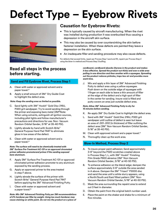## **Defect Type – Eyebrow Rivets**



## **Causation for Eyebrow Rivets:**

- This is typically caused by aircraft manufacturing. When the rivet was installed during production it was overbucked thus causing a depression in the aircraft skin surface.
- This may also be caused by over countersinking the skin before fastener installation. When these defects are painted they leave a depression on the skin surface.
- An inadequate filler and sanding procedure may also cause defects.

For defects that exceed limits, repair per Process Step 1 sand and fill, repaint per Process Step 2 using the blow-in method and Process Step 3 buffing.

## **Read all steps in the process before starting.**

## **Sand and Fill Eyebrow Rivet, Process Step 1**

- A. Clean with water or approved solvent and a paper towel.\*
- B. Apply a small amount of 3M™ Dry Guide Coat to highlight the defect area.

### *Note: Keep the sanding area as limited as possible.*

- C. Sand lightly with 3M™ Hookit™ Gold Disc 216U, P320 grit sandpaper. Try to avoid sanding through the primer and exposing bare metal (3M\*Note: When using solvents, extinguish all ignition sources, including pilot lights and follow manufacturer's precautions and directions for use. Non- Vacuum Random Orbital Sander, 3/16" at 35-40 PSI).
- D. Lightly abrade by hand with Scotch-Brite™ General Purpose Hand Pad 7447 to eliminate gloss in low areas of the defect.
- E. Clean with water or approved solvent and a paper towel.\*

#### *Note: The surface will need to be chemically treated with 3M™ Surface Pre-Treatment AC-131 or an approved chromated primer adhesion promoterand primer if the sanding exposed bare aluminum.*

- F. Apply 3M™ Surface Pre-Treatment AC-131 or approved chromated primer adhesion promoter to any aluminum exposed by the sanding process.
- G. Apply an approved primer to the area treated in step F above.
- H. Lightly abrade the surface of the primer with Scotch-Brite™ General Purpose Hand Pad 7447 before applying the 3M™ Advanced Finishing Putty.
- I. Clean with water or approved solvent and a paper towel.\*

*Note: Mix 3M™ Advanced Finishing Putty per 3M recommendations of 2% hardener per filler by weight. Using too much hardener may cause staining on white paint. Do not mix the product on a piece of* 

*cardboard, cardboard absorbs Styrene in the product and makes it less effective. Spread the product out thinly and over a wide area pulling in one direction and then another with a squeegee. Spreading out the product reduces pinholes, traps less air and provides more work time.*

J. Mix and apply a thin layer of 3M™ Advanced Finishing Putty to defect area using a yellow squeegee. Push down on the outside edge of squeegee with 1 finger on each side to leave a thin amount of filler at the edge of the defect and a high spot of filler in the center for sanding. Insure void is filled and putty covers an area just outside defect area.

### *Note: Allow 3M™ Advanced Finishing Putty to dry for 15 minutes before sanding.*

- K. Re-apply 3M™ Dry Guide Coat to highlight the defect area.
- L. Sand with 3M™ Hookit™ Gold Disc 216U, P320 grit sandpaper until outline of defect is seen but leave an area of .001-.002 (in thickness) of filler outlining the defect area (3M™ Non-Vacuum Random Orbital Sander, 5/16" at 35-40 PSI).
- M. Clean with approved solvent and a paper towel.\*
- N. Thoroughly clean up the work area.

## **Blow-In Method, Process Step 2**

- A. To insure proper paint adhesion; Sand approximately 3-6" beyond the P320 scratches created above in Process Step 1, L, with 3M™ Hookit™ Finishing Film Grade P800 abrasive (3M™ Non-Vacuum Random Orbital Sander, 3/16" at 40-50 PSI).
- B. To enhance adhesion on the blend edge; dampen the surface approximately 3-6" outside the area sanded in A above. Dampen the 3M™ Trizact™ P3000 disc and sand the area until a white slurry appears, using a North/South and East/West pattern (3M™ Non-Vacuum Random Orbital Sander, 5/16" at 40-50 PSI).
- C. Mask the area surrounding the repaint area to extend out 3 feet in diameter.
- D. Obtain the paint from the original batch number used.
- E. Place the paint on the shaker and shake for a minimum of five minutes.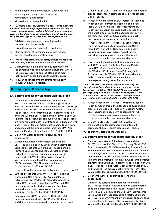- F. Mix the paint to the manufacturer's specification.
- G. Thin the paint, catalyst and reducer per manufacturer's instructions.
- H. Mix well with a clean stir stick.

*Note: On multiple coat applications it is necessary to extend the wet line of each coverage ring fractionally past the last coat to prevent developing an excessive build-up of paint on the edges bordering the blend transition area. Apply enough paint to ensure adequate coverage exists in the event sanding is required.*

- I. Establish paint coverage by employing the necessary number of coats.
- J. Divide the remaining paint into 2 containers.
- K. Mix 1 container of remaining paint with reducer per the manufacturer's instructions.

*Note: The finer the atomization of paint particles into the blend transition area, the more optimal the end results will be.*

- L. Carefully develop a blend edge by spraying from the coverage wet edge outwards. Ensure that where the last coverage ring and the blend edge meet that "burn in" doesn't change the paint texture.
- M. Allow an adequate amount of time for the paint to cure, 24 hours if possible.

## **Buffing Repair, Process Step 3**

## **3A. Buffing process for Standard Visibility areas.**

- A. Dampen the surface of the defect area and the 3M™ Trizact™ Hookit™ Clear Coat Sanding Disc-P1500. Sand the area with 3M™ Clean Sanding Painter's Back Up Pad and the 3M™ Soft Interface Pad installed to highlight the defect(s). Then remove the 3M™ Soft Interface Pad and sand with the 3M™ Clean Sanding Painter's Back Up Pad until the defect(s) are removed. Once large defect(s) are removed put the 3M™ Soft Interface Pad back on with a 3M™ Trizact™ Hookit™ Clear Coat Sanding Disc-P1500 and sand until the orange peel is removed. (3M™ Non-Vacuum Random Orbital Sander, 5/16" at 40-50 PSI).
- B. Clean with water or approved solvent and a paper towel.\*
- C. Dampen the surface of the defect area and the 3M™ Trizact™ Hookit™ P 3000 disc with a spray bottle. Sand the defect area using the 3M™ Clean Sanding Painter's Back Up Pad and the 3M™ Soft Interface Pad until a white slurry appears, using a North/ South and East/West pattern. When the white slurry appears, sand the defect area to insure 200% coverage (3M™ Non-Vacuum Random Orbital Sander, 5/16" at 40-50 PSI).
- D. Clean with water or approved solvent and a paper towel.\*
- E. Buff the defect area with 3M™ Perfect-It™ Rubbing Compound. Use a buffer, 3M™ Quick Release Adapter and 3M™ Perfect-It™ Wool Compounding Pad or 3M™ Perfect-It™ Low Linting Wool Pad. Use medium pressure to start, approximately 5 lbs and then reduce pressure to almost no pressure as you finish (Electric Buffer at 1400-1800 RPM).
- F. Remove excess 3M™ Perfect-It™ 3000 Extra Cut Rubbing Compound with 3M™ Perfect-It Clean and Shine, water or approved solven and paper towel.
- G. Use 3M™ SUN GUN™ II Light Kit to evaluate the defect area for scratches. If scratches still exist repeat steps E and F above.
- H. Remove swirl marks using 3M™ Perfect-It™ Machine Polish and 3M™ Perfect-It™ Foam Polishing Pad (use 3M™ Quick Release Adapter for mounting). Polish using medium pressure on 2-3 passes over the defect area or until all the compounding swirls are removed. Finish with two passes using light downward pressure over the defect area.
- I. Remove excess 3M™ Perfect-It™ Machine Polish from the polished and surrounding area. Use a folded 3M™ Perfect-It™ Detailing Cloth, Yellow insuring surging (sewn edges) do not rub the skin. Surging may leave a rag mark that is not removable using the final compounding step.
- J. Swirl (Halo) Elimination: Buff defect repair area with 3M™ Perfect-It™ Ultrafine Machine Polish, using 3M™ Quick Release Adapter, and 3M™ Perfect-It™ Ultrafine Foam Polishing Pad. Apply enough 3M™ Perfect-It™ Ultrafine Machine Polish to insure a wet continuous film exists on the panel during the entire procedure.

*Note: It will take a fair amount of product to initially wet the pad, there after add small amounts of product to keep the surface wet. Buff at 1400-1800 RPM and insure 200% coverage using medium pressure to start and light pressure to finish. Utilize a North/South and East/West pattern for your buffing pattern (Electric Buffer at 1400-1800 RPM).*

- K. Remove excess 3M™ Perfect-It™ Ultrafine Machine Polish compound from the polished and surrounding area. Use a folded 3M™ Perfect-It™ Detailing Cloth, Blue, insuring surging, (sewn edges), do not rub the skin. Surging may leave a rag mark that is not removable using the final compounding step.
- L. Use 3M™ SUN GUN™ II Light Kit to evaluate the defect area for scratches, (Halo effect). If scratches still exist repeat steps J and K above.
- M. Thoroughly clean up the work area.

## **3B. Buffing process for Standard Visibility areas.**

- A. Dampen the surface of the defect area and the 3M™ Trizact™ Hookit™ Clear Coat Sanding Disc-P1500. Sand the area with 3M™ Clean Sanding Painter's Back Up Pad and the 3M™ Soft Interface Pad installed to highlight the defect(s). Then remove the 3M™ Soft Interface Pad and sand with the 3M™ Clean Sanding Painter's Back Up Pad until the defect(s) are removed. Once large defect(s) are removed put the 3M™ Soft Interface Pad back on with a 3M™ Trizact™ Hookit™ Clear Coat Sanding Disc-P1500 and sand until the orange peel is removed. (3M™ Non-Vacuum Random Orbital Sander, 5/16" at 40-50 PSI).
- B. Clean with water or approved solvent and a paper towel.\*
- C. Dampen the surface of the defect area and the 3M™ Trizact™ Hookit™ P 3000 disc with a spray bottle. Sand the defect area using the 3M™ Clean Sanding Painter's Back Up Pad and the 3M™ Soft Interface Pad until a white slurry appears, using a North/South and East/West pattern. When the white slurry appears, sand the defect area to ensure 200% coverage (3M™ Non-Vacuum Random Orbital Sander, 5/16" at 40-50 PSI).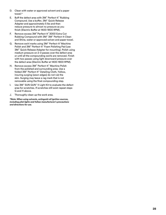- D. Clean with water or approved solvent and a paper towel.\*
- E. Buff the defect area with 3M™ Perfect-It™ Rubbing Compound. Use a buffer, 3M™ Quick Release Adapter and approximately 5 lbs and then reduce pressure to almost no pressure as you finish (Electric Buffer at 1400-1800 RPM).
- F. Remove excess 3M™ Perfect-It™ 3000 Extra Cut Rubbing Compound with 3M™ 3M™ Perfect-It Clean and Shine, water or approved solven and paper towel.
- G. Remove swirl marks using 3M™ Perfect-It™ Machine Polish and 3M™ Perfect-It™ Foam Polishing Pad (use 3M™ Quick Release Adapter for mounting). Polish using medium pressure on 2-3 passes over the defect area or until all the compounding swirls are removed. Finish with two passes using light downward pressure over the defect area (Electric Buffer at 1400-1800 RPM).
- H. Remove excess 3M™ Perfect-It™ Machine Polish from the polished and surrounding area. Use a folded 3M™ Perfect-It™ Detailing Cloth, Yellow, insuring surging (sewn edges) do not rub the skin. Surging may leave a rag mark that is not removable using the final compounding step.
- I. Use 3M™ SUN GUN™ II Light Kit to evaluate the defect area for scratches. If scratches still exist repeat steps G and H above.
- J. Thoroughly clean up the work area.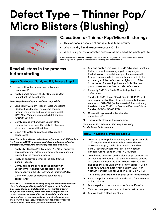## **Defect Type – Thinner Pop/ Micro Blisters (Blushing)**



## **Causation for Thinner Pop/Micro Blistering:**

- This may occur because of curing at high temperatures.
- When the dry film thickness exceeds 4.0 mils.
- When using airless or assisted airless or at the end of the paints pot life.

For defects outside the limit, repair per Process Step 1, apply guidecoat, sand, and fill and Process Step 2, repaint using the blow-in method and buffing per Process Step 3.

## **Read all steps in the process before starting.**

## **Apply Guidecoat, Sand, and Fill, Process Step 1**

- A. Clean with water or approved solvent and a paper towel.\*
- B. Apply a small amount of 3M™ Dry Guide Coat to highlight the defect area.

### *Note: Keep the sanding area as limited as possible.*

- C. Sand lightly with 3M™ Hookit™ Gold Disc 216U, P320 grit sandpaper. Try to avoid sanding through the primer and exposing bare metal (3M™ Non- Vacuum Random Orbital Sander, 3/16" 35-40 PSI).
- D. Lightly abrade by hand with Scotch-Brite™ General Purpose Hand Pad 7447 to eliminate gloss in low areas of the defect.
- E. Clean with water or approved solvent and a paper towel.

*Note: The surface will need to be chemically treated with 3M™ Surface Pre-Treatment AC-131 or an approved chromated primer adhesion promoter and primer if the sanding exposed bare aluminum.*

- F. Apply 3M™ Surface Pre-Treatment AC-131 or approved chromated primer adhesion promoter to any aluminum exposed by the sanding process.
- G. Apply an approved primer to the area treated in step F above.
- H. Lightly abrade the surface of the primer with Scotch-Brite™ General Purpose Hand Pad 7447 before applying the 3M™ Advanced Finishing Putty.
- I. Clean with water or approved solvent and a paper towel.\*

*Note: Mix 3M™ Advanced Finishing Putty per 3M recommendations of 2% hardener per filler by weight. Using too much hardener may cause staining on white paint. Do not mix the product on a piece of cardboard, cardboard absorbs Styrene in the product and makes it less effective. Spread the product out thinly and over a wide area pulling in one direction and then another with a squeegee. Spreading out the product reduces pinholes, traps less air and provides more work time.*

- J. Mix and apply a thin layer of 3M™ Advanced Finishing Putty to defect area using a yellow squeegee. Push down on the outside edge of squeegee with 1 finger on each side to leave a thin amount of filler at the edge of the defect and a high spot of filler in the center for sanding. Insure void is filled and putty covers an area just outside defect area.
- K. Re-apply 3M™ Dry Guide Coat to highlight the defect area.
- L. Sand with 3M™ Hookit™ Gold Disc 216U, P320 grit sandpaper until outline of defect is seen but leave an area of .001-.002 (in thickness) of filler outlining the defect area (3M™ Non-Vacuum Random Orbital Sander, 5/16" at 35-40 PSI).
- M. Clean with approved solvent and a paper towel.\*
- N. Thoroughly clean up the work area.

*Note: Allow 3M™ Advanced Finishing Putty to dry for 15 minutes before sanding.*

## **Blow-In Method, Process Step 2**

- A. To insure proper paint adhesion; Sand approximately 3-6" beyond the P320 scratches created above in Process Step 1, L, with 3M™ Hookit™ Finishing Film Grade P800 abrasive (3M™ Non-Vacuum Random Orbital Sander, 3/16" 40-50 PSI).
- B. To enhance adhesion on the blend edge; dampen the surface approximately 3-6" outside the area sanded in A above. Dampen the 3M™ Trizact™ P3000 disc and sand the area until a white slurry appears, using a North/South and East/West pattern (3M™ Non-Vacuum Random Orbital Sander, 5/16" 35-40 PSI).
- C. Obtain the paint from the original batch number used.
- D. Place the paint on the shaker and shake for a minimum of five minutes.
- E. Mix the paint to the manufacturer's specification.
- F. Thin the paint per the manufacturer's instructions.
- G. Mix well with a clean stir stick.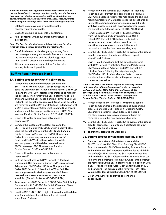*Note: On multiple coat applications it is necessary to extend the wet line of each coverage ring fractionally past the last coat to prevent developing an excessive build-up of paint on the edges bordering the blend transition area. Apply enough paint to ensure adequate coverage exists in the event sanding is required.*

- H. Establish paint coverage by employing the necessary number of coats.
- I. Divide the remaining paint into 2 containers.
- J. Mix 1 container with reducer per manufacturer's instructions.

#### *Note: The finer the atomization of paint particles into the blend transition area, the more optimal the end result will be.*

- K. Carefully develop a blend edge by spraying from the coverage wet edge outwards. Ensure that where the last coverage ring and the blend edge meet that "burn in" doesn't change the paint texture.
- L. Allow an adequate amount of time for the paint to cure, 24 hours if possible.

## **Buffing Repair, Process Step 3**

### **3A. Buffing process for High Visibility areas.**

- A. Dampen the surface of the defect area and the 3M™ Trizact™ Hookit™ Clear Coat Sanding Disc-P1500. Sand the area with 3M™ Clean Sanding Painter's Back Up Pad and the 3M™ Soft Interface Pad installed to highlight the defect(s). Then remove the 3M™ Soft Interface Pad and sand with the 3M™ Clean Sanding Painter's Back Up Pad until the defect(s) are removed. Once large defect(s) are removed put the 3M™ Soft Interface Pad back on with a 3M™ Trizact™ Hookit™ Clear Coat Sanding Disc-P1500 and sand until the orange peel is removed. (3M™ Non-Vacuum Random Orbital Sander, 5/16" at 40-50 PSI).
- B. Clean with water or approved solvent and a paper towel.\*
- C. Dampen the surface of the defect area and the 3M™ Trizact™ Hookit™ P 3000 disc with a spray bottle. Sand the defect area using the 3M™ Clean Sanding Painter's Back Up Pad and the 3M™ Soft Interface Pad until a white slurry appears, using a North/ South and East/West pattern. When the white slurry appears, sand the defect area to insure 200% coverage (3M™ Non-Vacuum Random Orbital Sander, 5/16" at 40-50 PSI).
- D. Clean with water or approved solvent and a paper towel.\*
- E. Buff the defect area with 3M™ Perfect-It™ Rubbing Compound. Use an electric buffer, 3M™ Quick Release Adapter and 3M™ Perfect-It™ Wool Compounding Pad or 3M™ Perfect-It™ Low Linting Wool Pad. Use medium pressure to start, approximately 5 lbs and then reduce pressure to almost no pressure as you finish (Electric Buffer at 1400-1800 RPM).
- F. Remove excess 3M™ Perfect-It™ 3000 Extra Cut Rubbing Compound with 3M™ 3M™ Perfect-It Clean and Shine, water or approved solven and paper towel.
- G. Use the 3M™ SUN GUN™ II Light Kit to evaluate the defect area for scratches. If scratches still exist repeat steps E and F above.
- H. Remove swirl marks using 3M™ Perfect-It™ Machine Polish and 3M™ Perfect-It™ Foam Polishing Pad (use 3M™ Quick Release Adapter for mounting). Polish using medium pressure on 2-3 passes over the defect area or until all the compounding swirls are removed. Finish with two passes using light downward pressure over the defect area (Electric Buffer at 1400-1800 RPM).
- I. Remove excess 3M™ Perfect-It™ Machine Polish from the polished and surrounding area. Use a folded 3M™ Perfect-It™ Detailing Cloth, Yellow insuring surging (sewn edges) do not rub the skin. Surging may leave a rag mark that is not removable using the final compounding step.
- J. Use the 3M™ SUN GUN™ II Light Kit to evaluate the defect area for scratches. If scratches still exist repeat steps C and D above.
- K. Swirl (Halo) Elimination: Buff the defect repair area with 3M™ Perfect-It™ Ultrafine Machine Polish, using 3M™ Quick Release Adapter, and 3M™ Perfect-It™ Ultrafine Foam Polishing Pad. Apply enough 3M™ Perfect-It™ Ultrafine Machine Polish to insure a wet continuous film exists on the panel during the entire procedure.

*Note: It will take a fair amount of product to initially wet the pad, there after add small amounts of product to keep the surface wet. Buff at 1400-1800 RPM and insure 200% coverage using medium pressure to start and light pressure to finish. Utilize a North/South and East/West pattern for your buffing (Electric Buffer at 1400-1800 RPM).*

- L. Remove excess 3M™ Perfect-It™ Ultrafine Machine Polish compound from the polished and surrounding area. Use a folded 3M™ Perfect-It™ Detailing Cloth, Blue insuring surging, (sewn edges), do not rub the skin. Surging may leave a rag mark that is not removable using the final compounding step.
- M. Use the 3M™ SUN GUN™ II Light Kit to evaluate the defect area for scratches, (Halo effect). If scratches still exist repeat steps K and L above.
- N. Thoroughly clean up the work area.

## **3B. Buffing process for Standard Visibility areas.**

- A. Dampen the surface of the defect area and the 3M™ Trizact™ Hookit™ Clear Coat Sanding Disc-P1500. Sand the area with 3M™ Clean Sanding Painter's Back Up Pad and the 3M™ Soft Interface Pad installed to highlight the defect(s). Then remove the 3M™ Soft Interface Pad and sand with the 3M™ Clean Sanding Painter's Back Up Pad until the defect(s) are removed. Once large defect(s) are removed put the 3M™ Soft Interface Pad back on with a 3M™ Trizact™ Hookit™ Clear Coat Sanding Disc-P1500 and sand until the orange peel is removed. (3M™ Non-Vacuum Random Orbital Sander, 5/16" at 40-50 PSI).
- B. Clean with water or approved solvent and a paper towel.\*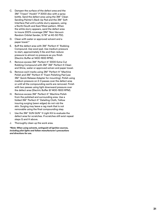- C. Dampen the surface of the defect area and the 3M™ Trizact™ Hookit™ P 3000 disc with a spray bottle. Sand the defect area using the 3M™ Clean Sanding Painter's Back Up Pad and the 3M™ Soft Interface Pad until a white slurry appears, using a North/South and East/West pattern. When the white slurry appears, sand the defect area to insure 200% coverage (3M™ Non-Vacuum Random Orbital Sander, 5/16" at 40-50 PSI).
- D. Clean with water or approved solvent and a paper towel.\*
- E. Buff the defect area with 3M™ Perfect-It™ Rubbing Compound. Use wool pad. Use medium pressure to start, approximately 5 lbs and then reduce pressure to almost no pressure as you finish (Electric Buffer at 1400-1800 RPM).
- F. Remove excess 3M™ Perfect-It™ 3000 Extra Cut Rubbing Compound with 3M™ 3M™ Perfect-It Clean and Shine, water or approved solven and paper towel.
- G. Remove swirl marks using 3M™ Perfect-It™ Machine Polish and 3M™ Perfect-It™ Foam Polishing Pad (use 3M™ Quick Release Adapter for mounting). Polish using medium pressure on 2-3 passes over the defect area or until all the compounding swirls are removed. Finish with two passes using light downward pressure over the defect area (Electric Buffer @ 1400-1800 RPM).
- H. Remove excess 3M™ Perfect-It™ Machine Polish from the polished and surrounding area. Use a folded 3M™ Perfect-It™ Detailing Cloth, Yellow insuring surging (sewn edges) do not rub the skin. Surging may leave a rag mark that is not removable using the final compounding step.
- I. Use the 3M™ SUN GUN™ II Light Kit to evaluate the defect area for scratches. If scratches still exist repeat steps G and H above.
- J. Thoroughly clean up the work area.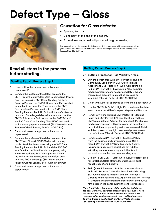## **Defect Type – Gloss**



## **Causation for Gloss defects:**

- Spraying too dry.
- Using paint at the end of the pot life.
- Excessive orange peel will produce low gloss readings.

Dry paint will not achieve the desired gloss level. This discrepancy utilizes the same repair as gloss defects. For defects outside the limit, repair by area per Process Step 1, sanding, and Process Step 2 for buffing.

## **Read all steps in the process before starting.**

## **Sanding Repair, Process Step 1**

- A. Clean with water or approved solvent and a paper towel.\*
- B. Dampen the surface of the defect area and the 3M™ Trizact™ Hookit™ Clear Coat Sanding Disc-P1500. Sand the area with 3M™ Clean Sanding Painter's Back Up Pad and the 3M™ Soft Interface Pad installed to highlight the defect(s). Then remove the 3M™ Soft Interface Pad and sand with the 3M™ Clean Sanding Painter's Back Up Pad until the defect(s) are removed. Once large defect(s) are removed put the 3M™ Soft Interface Pad back on with a 3M™ Trizact™ Hookit™ Clear Coat Sanding Disc-P1500 and sand until the orange peel is removed. (3M™ Non-Vacuum Random Orbital Sander, 5/16" at 40-50 PSI).
- C. Clean with water or approved solvent and a paper towel.\*
- D. Dampen the surface of the defect area and the 3M™ Trizact™ Hookit™ P 3000 disc with a spray bottle. Sand the defect area using the 3M™ Clean Sanding Painter's Back Up Pad and the 3M™ Soft Interface Pad until a white slurry appears, using a North/South and East/West pattern. When the white slurry appears, sand the defect area to insure 200% coverage (3M™ Non-Vacuum Random Orbital Sander, 5/16" with 40-50 PSI).
- E. Clean with water or approved solvent and a paper towel.\*

## **Buffing Repair, Process Step 2**

### **2A. Buffing process for High Visibility Areas.**

- A. Buff the defect area with 3M™ Perfect-It™ Rubbing Compound. Use a buffer, 3M™ Quick Release Adapter and 3M™ Perfect-It™ Wool Compounding Pad or 3M™ Perfect-It™ Low Linting Wool Pad. Use medium pressure to start, approximately 5 lbs and then reduce pressure to almost no pressure as you finish (Electric Buffer at 1400-1800 RPM).
- B. Clean with water or approved solvent and a paper towel.\*
- C. Use the 3M™ SUN GUN™ II Light Kit to evaluate the defect area. If scratches still exist repeat steps A and B above.
- D. Remove swirl marks using 3M™ Perfect-It™ Machine Polish and 3M™ Perfect-It™ Foam Polishing Pad (use 3M™ Quick Release Adapter for mounting). Polish using medium pressure on 2-3 passes over the defect area or until all the compounding swirls are removed. Finish with two passes using light downward pressure over the defect area (Electric Buffer at 1400-1800 RPM).
- E. Remove excess 3M™ Perfect-It™ Machine Polish from the polished and surrounding area. Use a folded 3M™ Perfect-It™ Detailing Cloth, Yellow, insuring surging, (sewn edges), do not rub the skin. Surging may leave a rag mark that is not removable using the final compounding step.
- F. Use 3M™ SUN GUN™ II Light Kit to evaluate defect area for scratches, (Halo effect). If scratches still exist repeat steps D and E above.
- G. Swirl (Halo) Elimination: Buff the defect repair area with 3M™ Perfect-It™ Ultrafine Machine Polish, using 3M™ Quick Release Adapter, and 3M™ Perfect-It™ Ultrafine Foam Polishing Pad. Apply enough 3M™ Perfect-It™ Ultrafine Machine Polish to insure a wet continuous film exists on the panel during the entire procedure.

*Note: It will take a fair amount of the product to initially wet the pad, there after add small amounts of the product to keep the surface wet. Buff at 1400-1800 RPM and insure 200% coverage using medium pressure to start and light pressure to finish. Utilize a North/South and East/West pattern for your buffing (Electric Buffer at 1400-1800 RPM).*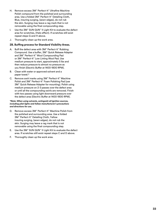- H. Remove excess 3M™ Perfect-It™ Ultrafine Machine Polish compound from the polished and surrounding area. Use a folded 3M™ Perfect-It™ Detailing Cloth, Blue, insuring surging, (sewn edges), do not rub the skin. Surging may leave a rag mark that is not removable using the final compounding step.
- I. Use the 3M™ SUN GUN™ II Light Kit to evaluate the defect area for scratches, (Halo effect). If scratches still exist repeat steps G and H above.
- J. Thoroughly clean up the work area.

## **2B. Buffing process for Standard Visibility Areas.**

- A. Buff the defect area with 3M™ Perfect-It™ Rubbing Compound. Use a buffer, 3M™ Quick Release Adapter and 3M™ Perfect-It™ Wool Compounding Pad or 3M™ Perfect-It™ Low Linting Wool Pad. Use medium pressure to start, approximately 5 lbs and then reduce pressure to almost no pressure as you finish (Electric Buffer at 1400-1800 RPM).
- B. Clean with water or approved solvent and a paper towel.\*
- C. Remove swirl marks using 3M™ Perfect-It™ Machine Polish and 3M™ Perfect-It™ Foam Polishing Pad (use 3M™ Quick Release Adapter for mounting). Polish using medium pressure on 2-3 passes over the defect area or until all the compounding swirls are removed. Finish with two passes using light downward pressure over the defect area (Electric Buffer at 1400-1800 RPM).

- D. Remove excess 3M™ Perfect-It™ Machine Polish from the polished and surrounding area. Use a folded 3M™ Perfect-It™ Detailing Cloth, Yellow insuring surging, (sewn edges), do not rub the skin. Surging may leave a rag mark that is not removable using the final compounding step.
- E. Use the 3M™ SUN GUN™ II Light Kit to evaluate the defect area. If scratches still exist repeat steps C and D above.
- F. Thoroughly clean up the work area.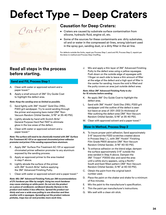## **Defect Type – Deep Craters**

Crater

## **Causation for Deep Craters:**

- Craters are caused by substrate surface contamination from silicone, hydraulic fluid, engine oil, etc.
- Some of the sources for these contaminants are: dirty substrates, oil and or water in the compressed air lines, wrong lubricant used in the spray gun, sanding dust, or a dirty filter in the air line.

For defects outside the limits, repair per Process Step 1, sand and fill, Process Step 2, repaint per the blow-in method and Process Step 3 buffing.

## **Read all steps in the process before starting.**

## **Sand and Fill, Process Step 1**

- A. Clean with water or approved solvent and a paper towel.\*
- B. Apply a small amount of 3M™ Dry Guide Coat to highlight the defect area.

### *Note: Keep the sanding area as limited as possible.*

- C. Sand lightly with 3M™ Hookit™ Gold Disc 216U, P320 grit sandpaper. Try to avoid sanding through the primer and exposing bare metal (3M™ Non-Vacuum Random Orbital Sander, 3/16" at 35-40 PSI).
- D. Lightly abrade by hand with Scotch-Brite™ General Purpose Hard Pad 7447 to eliminate gloss in the low areas of the defect.
- E. Clean with water or approved solvent and a paper towel.\*

#### *Note: The surface will need to be chemically treated with 3M™ Surface Pre-Treatment AC-131 or an approved chromated primer adhesion promoter and primer if the sanding exposed bare aluminum.*

- F. Apply 3M™ Surface Pre-Treatment AC-131 or approved chromated primer adhesion promoter to any aluminum exposed by the sanding process.
- G. Apply an approved primer to the area treated in step F above.
- H. Lightly abrade the surface of the primer with 3M™ Scotch-Brite™ before applying the 3M™ Advanced Finishing Putty.
- I. Clean with water or approved solvent and a paper towel.\*

*Note: Mix 3M™ Advanced Finishing Putty per 3M recommendations of 2% hardener per filler by weight. Using too much hardener may cause staining on white paint. Do not mix the product on a piece of cardboard, cardboard absorbs Styrene in the product and makes it less effective. Spread the product out thinly and over a wide area pulling in one direction and then another with a squeegee. Spreading out the product reduces pinholes, traps less air and provides more work time.*

J. Mix and apply a thin layer of 3M™ Advanced Finishing Putty to the defect area using a yellow squeegee. Push down on the outside edge of squeegee with 1 finger on each side to leave a thin amount of filler at the edge of the defect and a high spot of filler in the center for sanding. Insure the void is filled and the putty covers an area just outside defect area.

#### *Note: Allow 3M™ Advanced Finishing Putty to dry for 15 minutes before sanding.*

- K. Re-apply 3M™ Dry Guide Coat to highlight the defect area.
- L. Sand with 3M™ Hookit™ Gold Disc 216U, P320 grit sandpaper until the outline of the defect is seen but leave an area of .001-.002 (in thickness) of filler outlining the defect area (3M™ Non-Vacuum Random Orbital Sander, 5/16" at 35-40 PSI).
- M. Clean with approved solvent and a paper towel.\*

## **Blow-In Method, Process Step 2**

- A. To insure proper paint adhesion; Sand approximately 3-6" beyond the P320 scratches created above in Process Step 1, L, with 3M™ Hookit™ Finishing Film Grade P800 abrasive (3M™ Non-Vacuum Random Orbital Sander, 3/16" 40-50 PSI).
- B. To enhance adhesion on the blend edge; dampen the surface approximately 3-6" outside the area sanded in Step A above. Dampen the 3M™ Trizact™ P3000 disc and sand the area until a white slurry appears, using a North/ South and East/West pattern (3M™ Non-Vacuum Random Orbital Sander, 5/16" at 40-50 PSI).
- C. Obtain the paint from the original batch number used.
- D. Place the paint on the shaker and shake for a minimum of five minutes.
- E. Mix the paint to the manufacturer's specification.
- F. Thin the paint per manufacturer's instructions.
- G. Mix well with a clean stir stick.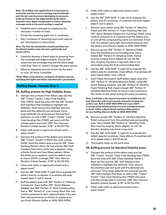*Note: On multiple coat applications it is necessary to extend the wet line of each coverage ring fractionally past the last coat to prevent developing an excessive build-up of paint on the edges bordering the blend transition area. Apply enough paint to ensure adequate coverage exists in the event sanding is required.*

- H. Establish paint coverage by employing the necessary number of coats.
- I. Divide the remaining paint into 2 containers.
- J. Mix 1 container of remaining paint with reducer per manufacturer's instructions.

#### *Note: The finer the atomization of paint particles into the blend transition area, the more optimal the end results will be.*

- K. Carefully develop a blend edge by spraying from the coverage wet edge outwards. Ensure that where the last coverage ring and the blend edge meet that "burn in" doesn't change the paint texture.
- L. Allow an adequate amount of time for the paint to cure, 24 hours if possible.

*\*Note: When using solvents, extinguish all ignition sources, including pilot lights and follow manufacturer's precautions*

## **Buffing Repair, Process Step 3**

### **3A. Buffing process for High Visibility Areas.**

- A. Dampen the surface of the defect area and the 3M™ Trizact™ Hookit™ Clear Coat Sanding Disc-P1500. Sand the area with the 3M™ Hookit™ Soft Interface Pad installed to highlight the defect(s). Then remove the interface pad and sand until the defect(s) are removed. Once large defect(s) are removed put the interface pad back on with a 3M™ Trizact™ Hookit™ Clear Coat Sanding Disc-P1500 and sand until the orange peel is removed. (3M™ Non-Vacuum Random Orbital Sander, 5/16" at 40-50 PSI).
- B. Clean with water or approved solvent and a paper towel.\*
- C. Dampen the surface of the defect area and the 3M™ Trizact™ Hookit™ P 3000 disc with a spray bottle. Sand the defect area using the 3M™ Clean Sanding Painter's Back Up Pad and the 3M™ Soft Interface Pad until a white slurry appears, using a North/South and East/West pattern. When the white slurry appears, sand the defect area to insure 200% coverage (3M™ Non-Vacuum Random Orbital Sander, 5/16" at 40-50 PSI).
- D. Clean with water or approved solvent and a paper towel.\*
- E. Use the 3M™ SUN GUN™ II Light Kit to evaluate the defect area for scratches. If scratches still exist repeat steps C and D above.
- F. Buff the defect area with 3M™ Perfect-It™ Rubbing Compound. Use a buffer, 3M™ Quick Release Adapter and 3M™ Perfect-It™ Wool Compounding Pad or 3M™ Perfect-It™ Low Linting Wool Pad. Use medium pressure to start, approximately 5 lbs and then reduce pressure to almost no pressure as you finish (Electric Buffer at 1400-1800 RPM).
- G. Clean with water or approved solvent and a paper towel.\*
- H. Use the 3M™ SUN GUN™ II Light Kit to evaluate the defect area for scratches. If scratches still exist repeat steps F and G above.
- I. Remove swirl marks using 3M™ Perfect-It™ Machine Polish and 3M™ Perfect-It™ Foam Polishing Pad (use 3M™ Quick Release Adapter for mounting). Polish using medium pressure on 2-3 passes over the defect area or until all the compounding swirls are removed. Finish with two passes using light downward pressure over the defect area (Electric Buffer at 1400-1800 RPM).
- J. Remove excess 3M™ Perfect-It™ Machine Polish from the polished and surrounding area. Use a folded 3M™ Perfect-It™ Detailing Cloth, Yellow insuring surging (sewn edges) do not rub the skin. Surging may leave a rag mark that is not removable using the final compounding step.
- K. Use the 3M™ SUN GUN™ II Light Kit to evaluate the defect area for scratches, (Halo effect). If scratches still exist repeat steps I and J above.
- L. Swirl (Halo) Elimination: Buff defect repair area with 3M™ Perfect-It™ Ultrafine Machine Polish, using 3M™ Quick Release Adapter, and 3M™ Perfect-It™ Ultrafine Foam Polishing Pad. Apply enough 3M™ Perfect-It™ Ultrafine Machine Polish to insure a wet continuous film exists on the panel during the entire procedure.

*Note: It will take a fair amount of product to initially wet the pad, there after add small amounts of product to keep the surface wet. Buff at 1400-1800 RPM and insure 200% coverage using medium pressure to start and light pressure to finish. Utilize a North/South and East/West pattern for your buffing (Electric Buffer at 1400-1800 RPM).*

- M. Remove excess 3M™ Perfect-It™ Ultrafine Machine Polish compound from the polished and surrounding area. Use a folded 3M™ Perfect-It™ Detailing Cloth, Blue insuring surging, (sewn edges), do not rub the skin. Surging may leave a rag mark.
- N. Use the 3M™ SUN GUN™ II Light Kit to evaluate the defect area for scratches, (Halo effect). If scratches still exist repeat steps L and M above.
- O. Thoroughly clean up the work area.

## **3B. Buffing process for Standard Visibility areas.**

- A. Dampen the surface of the defect area and the 3M™ Trizact™ Hookit™ Clear Coat Sanding Disc-P1500. Sand the area with 3M™ Clean Sanding Painter's Back Up Pad and the 3M™ Soft Interface Pad installed to highlight the defect(s). Then remove the interface pad and sand until the defect(s) are removed. Once large defect(s) are removed put the 3M™ Soft Interface Pad back on with a 3M™ Trizact™ Hookit™ Clear Coat Sanding Disc-P1500 and sand until the orange peel is removed. (3M™ Non-Vacuum Random Orbital Sander, 5/16" at 40-50 PSI).
- B. Clean with water or approved solvent and a paper towel.\*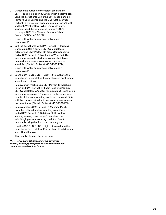- C. Dampen the surface of the defect area and the 3M ™ Trizact ™ Hookit ™ P 3000 disc with a spray bottle. Sand the defect area using the 3M ™ Clean Sanding Painter's Back Up Pad and the 3M ™ Soft Interface Pad until a white slurry appears, using a North/South and East/West pattern. When the white slurry appears, sand the defect area to insure 200% coverage (3M ™ Non-Vacuum Random Orbital Sander, 5/16" at 40-50 PSI).
- D. Clean with water or approved solvent and a paper towel.\*
- E. Buff the defect area with 3M ™ Perfect-It ™ Rubbing Compound. Use a buffer, 3M ™ Quick Release Adapter and 3M ™ Perfect-It ™ Wool Compounding Pad or 3M<sup>™</sup> Perfect-It<sup>™</sup> Low Linting Wool Pad. Use medium pressure to start, approximately 5 lbs and then reduce pressure to almost no pressure as you finish (Electric Buffer at 1400-1800 RPM).
- F. Clean with water or approved solvent and a paper towel.\*
- G. Use the 3M ™ SUN GUN ™ II Light Kit to evaluate the defect area for scratches. If scratches still exist repeat steps E and F above.
- H. Remove swirl marks using 3M ™ Perfect-It ™ Machine Polish and 3M ™ Perfect-It ™ Foam Polishing Pad (use 3M ™ Quick Release Adapter for mounting). Polish using medium pressure on 2-3 passes over the defect area or until all the compounding swirls are removed. Finish with two passes using light downward pressure over the defect area (Electric Buffer at 1400-1800 RPM).
- I. Remove excess 3M ™ Perfect-It ™ Machine Polish from the polished and surrounding area. Use a folded 3M ™ Perfect-It ™ Detailing Cloth, Yellow insuring surging (sewn edges) do not rub the skin. Surging may leave a rag mark that is not removable using the final compounding step.
- J. Use the 3M ™ SUN GUN ™ II Light Kit to evaluate the defect area for scratches. If scratches still exist repeat steps H and I above.
- K. Thoroughly clean up the work area.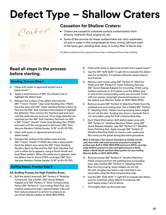## **Defect Type – Shallow Craters**

Crater

## **Causation for Shallow Craters:**

- Craters are caused by substrate surface contamination from silicone, hydraulic fluid, engine oil, etc.
- Some of the sources for these contaminants are: dirty substrates, oil and or water in the compressed air lines, wrong lubricant used in the spray gun, sanding dust, dust, or a dirty filter in the air line.

For defects outside the limit, repair per Process Step 1, sanding and Process Step 2 buffing.

## **Read all steps in the process before starting.**

## **Sanding, Process Step 1**

- A. Clean with water or approved solvent and a paper towel.\*
- B. Apply a small amount of 3M™ Dry Guide Coat to highlight the defect area.
- C. Dampen the surface of the defect area and the 3M™ Trizact™ Hookit™ Clear Coat Sanding Disc-P1500. Sand the area with 3M™ Clean Sanding Painter's Back Up Pad and the 3M™ Soft Interface Pad installed to highlight the defect(s). Then remove the interface pad and sand until the defect(s) are removed. Once large defect(s) are removed put the 3M™ Soft Interface Pad back on with a 3M™ Trizact™ Hookit™ Clear Coat Sanding Disc-P1500 and sand until the orange peel is removed. (3M™ Non-Vacuum Random Orbital Sander, 5/16" at 40-50 PSI).
- D. Clean with water or approved solvent and a paper towel.\*
- E. Dampen the surface of the defect area and the 3M™ Trizact™ Hookit™ P 3000 disc with a spray bottle. Sand the defect area using the 3M™ Clean Sanding Painter's Back Up Pad and the 3M™ Soft Interface Pad until a white slurry appears, using a North/South and East/West pattern. When the white slurry appears, sand the defect area to insure 200% coverage (3M™ Non-Vacuum Random Orbital Sander, 5/16" at 40-50 PSI).

## **Buffing Repair, Process Step 2**

## **2A. Buffing Process for High Visibility Areas.**

A. Buff the defect area with 3M™ Perfect-It™ Rubbing Compound. Use a buffer, 3M™ Quick Release Adapter and 3M™ Perfect-It™ Wool Compounding Pad or 3M™ Perfect-It™ Low Linting Wool Pad. Use medium pressure to start, approximately 5 lbs and then reduce pressure to almost no pressure as you finish (Electric Buffer at 1400-1800 RPM).

- B. Clean with water or approved solvent and a paper towel.\*
- C. Use the 3M™ SUN GUN™ II Light Kit to evaluate the defect area for scratches. If scratches still exist repeat steps A and B above.
- D. Remove swirl marks using 3M™ Perfect-It™ Machine Polish and 3M™ Perfect-It™ Foam Polishing Pad (use 3M™ Quick Release Adapter for mounting). Polish using medium pressure on 2-3 passes over the defect area or until all the compounding swirls are removed. Finish with two passes using light downward pressure over the defect area (Electric Buffer at 1400-1800 RPM).
- E. Remove excess 3M™ Perfect-It™ Machine Polish from the polished and surrounding area. Use a folded 3M™ Perfect-It<sup>™</sup> Detailing Cloth, Yellow insuring surging (sewn edges) do not rub the skin. Surging may leave a rag mark that is not removable using the final compounding step.
- F. Swirl (Halo) Elimination: Buff defect repair area with 3M™ Perfect-It™ Ultrafine Machine Polish, using 3M™ Quick Release Adapter, and 3M™ Perfect-It™ Ultrafine Foam Polishing Pad. Apply enough 3M™ Perfect-It™ Ultrafine Machine Polish to insure a wet continuous film exists on the panel during the entire procedure.

*Note: It will take a fair amount of product to initially wet the pad, there after add small amounts of product to keep the surface wet. Buff at 1400-1800 RPM and insure 200% coverage using medium pressure to start and light pressure to finish. Utilize a North/South and East/West pattern for your buffing (Electric Buffer at 1400-1800 RPM).*

- G. Remove excess 3M™ Perfect-It™ Ultrafine Machine Polish compound from the polished and surrounding area. Use a folded 3M™ Perfect-It™ Detailing Cloth, Blue insuring surging, (sewn edges), do not rub the skin. Surging may leave a rag mark that is not removable using the final compounding step.
- H. Use the 3M™ SUN GUN™ II Light Kit to evaluate the defect area for scratches, (Halo effect). If scratches still exist repeat steps F and G above.
- I. Thoroughly clean up the work area.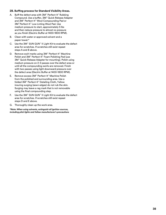## **2B. Buffing process for Standard Visibility Areas.**

- A. Buff the defect area with 3M™ Perfect-It™ Rubbing Compound. Use a buffer, 3M™ Quick Release Adapter and 3M™ Perfect-It™ Wool Compounding Pad or 3M™ Perfect-It™ Low Linting Wool Pad. Use medium pressure to start, approximately 5 lbs and then reduce pressure to almost no pressure as you finish (Electric Buffer at 1400-1800 RPM).
- B. Clean with water or approved solvent and a paper towel.\*
- C. Use the 3M™ SUN GUN™ II Light Kit to evaluate the defect area for scratches. If scratches still exist repeat steps A and B above.
- D. Remove swirl marks using 3M™ Perfect-It™ Machine Polish and 3M™ Perfect-It™ Foam Polishing Pad (use 3M™ Quick Release Adapter for mounting). Polish using medium pressure on 2-3 passes over the defect area or until all the compounding swirls are removed. Finish with two passes using light downward pressure over the defect area (Electric Buffer at 1400-1800 RPM).
- E. Remove excess 3M™ Perfect-It™ Machine Polish from the polished and surrounding area. Use a folded 3M™ Perfect-It™ Detailing Cloth, Yellow insuring surging (sewn edges) do not rub the skin. Surging may leave a rag mark that is not removable using the final compounding step.
- F. Use the 3M™ SUN GUN™ II Light Kit to evaluate the defect area for scratches. If scratches still exist repeat steps D and E above.
- G. Thoroughly clean up the work area.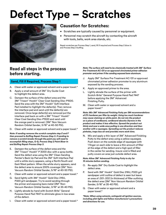## **Defect Type – Scratches**



## **Causation for Scratches:**

- Scratches are typically caused by personnel or equipment.
- Personnel may scratch the aircraft by contacting the aircraft with tools, belts, work area stands, etc.

Repair scratches per Process Step 1, sand, fill if required and Process Step 2 blow-in and Process Step 3 buffing.

## **Read all steps in the process before starting.**

## **Sand, Fill If Required, Process Step 1**

- A. Clean with water or approved solvent and a paper towel.\*
- B. Apply a small amount of 3M™ Dry Guide Coat to highlight the defect area.
- C. Dampen the surface of the defect area and the 3M™ Trizact™ Hookit™ Clear Coat Sanding Disc-P1500. Sand the area with the 3M™ Hookit™ Soft Interface Pad installed to highlight the defect(s). Then remove the interface pad and sand until the defect(s) are removed. Once large defect(s) are removed put the interface pad back on with a 3M™ Trizact™ Hookit™ Clear Coat Sanding Disc-P1500 and sand until the orange peel is removed. (3M™ Non-Vacuum Random Orbital Sander, 5/16" at 40-50 PSI).
- D. Clean with water or approved solvent and a paper towel.\*

#### *Note: If sanding removes the scratch complete step E and F then proceed to Buffing Repair Process Step 3. If sanding to remove a scratch breaks through the paint you will need to accomplish filling steps, G-Q, Process Step 2 Paint Blow-In and Buffing Repair Process Step 3.*

- E. Dampen the surface of the defect area and the 3M™ Trizact™ Hookit™ P 3000 disc with a spray bottle. Sand the defect area using the 3M™ Clean Sanding Painter's Back Up Pad and the 3M™ Soft Interface Pad until a white slurry appears, using a North/South and East/West pattern. When the white slurry appears, sand the defect area to ensure 200% coverage (3M™ Non-Vacuum Random Orbital Sander, 5/16" at 40-50 PSI).
- F. Clean with water or approved solvent and a paper towel.\*
- G. Sand lightly with 3M™ Hookit™ Gold Disc 216U, P320 grit sandpaper. Try to avoid sanding through the primer and exposing bare metal (3M™ Non-Vacuum Random Orbital Sander, 3/16" at 35-40 PSI).
- H. Lightly abrade by hand with Scotch-Brite™ General Purpose Hand Pad 7447 to eliminate gloss in low areas of the defect.
- I. Clean with water or approved solvent and a paper towel.\*

*Note: The surface will need to be chemically treated with 3M™ Surface Pre-Treatment AC-131 or an approved chromated primer adhesion promoter and primer if the sanding exposed bare aluminum.*

- J. Apply 3M™ Surface Pre-Treatment AC-131 or approved chromated primer adhesion promoter to any aluminum exposed by the sanding process.
- K. Apply an approved primer to the area.
- L. Lightly abrade the surface of the primer with Scotch-Brite™ General Purpose Hand Pad 7447 before applying the 3M™ Advanced Finishing Putty.
- M. Clean with water or approved solvent and a paper towel.\*

*Note: Mix 3M™ Advanced Finishing Putty per 3M recommendations of 2% hardener per filler by weight. Using too much hardener may cause staining on white paint. Do not mix the product on a piece of cardboard, cardboard absorbs Styrene in the product and makes it less effective. Spread the product out thinly and over a wide area pulling in one direction and then another with a squeegee. Spreading out the product reduces pinholes, traps less air and provides more work time.*

N. Mix and apply a thin layer of 3M™ Advanced Finishing Putty to the defect area using a yellow squeegee. Push down on the outside edge of squeegee with 1 finger on each side to leave a thin amount of filler at the edge of the defect and a high spot of filler in the center for sanding. Insure void is filled and putty covers an area just outside defect area.

### *Note: Allow 3M™ Advanced Finishing Putty to dry for 15 minutes before sanding.*

- O. Re-apply 3M™ Dry Guide Coat to highlight the defect area.
- P. Sand with 3M™ Hookit™ Gold Disc 216U, P320 grit sandpaper until outline of defect is seen but leave an area of .001-.002 (in thickness) of filler outlining the defect area (3M™ Non-Vacuum Random Orbital Sander, 5/16" at 35-40 PSI).
- Q. Clean with water or approved solvent and a paper towel.\*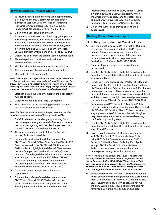## **Blow-In Method, Process Step 2**

- A. To insure proper paint adhesion; Sand approximately 3-6" beyond the P320 scratches created above in Process Step 1, P, with 3M™ Hookit™ Finishing Film Grade P800 abrasive (3M™ Non-Vacuum Random Orbital Sander, 3/16" at 40-50 PSI).
- B. Clean with paper towels and water.
- C. To enhance adhesion on the blend edge; dampen the surface approximately 3-6" outside the area sanded in A above. Dampen the 3M™ Trizact™ P3000 disc and sand the area until a white slurry appears, using a North/South and East/West pattern (3M™ Non-Vacuum Random Orbital Sander, 5/16" at 40-50 PSI).
- D. Obtain the paint from the original batch number used.
- E. Place the paint on the shaker and shake for a minimum of five minutes.
- F. Mix the paint to the manufacturer's specification.
- G. Thin the paint per the manufacturer's instructions.
- H. Mix well with a clean stir stick.

*Note: On multiple coat applications it is necessary to extend the wet line of each coverage ring fractionally past the last coat to prevent developing an excessive build-up of paint on the edges bordering the blend transition area. Apply enough paint to ensure adequate coverage exists in the event sanding is required.*

- I. Establish paint coverage by employing the necessary number of coats.
- J. Divide the remaining paint into 2 containers.
- K. Mix 1 container of the remaining paint with reducer per the manufacturer's instructions.

#### *Note: The finer the atomization of paint particles into the blend transition area, the more optimal the end results will be.*

- L. Carefully develop a blend edge by spraying from the coverage wet edge outwards. Ensure that where the last coverage ring and the blend edge meet that "burn in" doesn't change the paint texture.
- M. Allow an adequate amount of time for the paint to cure, 24 hours if possible.
- N. Dampen the surface of the defect area and the 3M™ Trizact™ Hookit™ Clear Coat Sanding Disc-P1500. Sand the area with the 3M™ Hookit™ Soft Interface Pad installed to highlight the defect(s). Then remove the interface pad and sand until the defect(s) are removed. Once large defect(s) are removed put the interface pad back on with a 3M™ Trizact™ Hookit™ Clear Coat Sanding Disc-P1500 and sand until the orange peel is removed. (3M™ Non-Vacuum Random Orbital Sander, 5/16" at 40-50 PSI).
- O. Clean with water or approved solvent and a paper towel.\*
- P. Dampen the surface of the defect area and the 3M™ Trizact™ Hookit™ P 3000 disc with a spray bottle. Sand the defect area using the 3M™ Clean Sanding Painter's Back Up Pad and the 3M™ Soft

Interface Pad until a white slurry appears, using a North/South and East/West pattern. When the white slurry appears, sand the defect area to insure 200% coverage (3M™ Non-Vacuum Random Orbital Sander, 5/16" at 40-50 PSI).

Q. Clean with water or approved solvent and a paper towel.\*

## **Buffing Repair, Process Step 3**

#### **3A. Buffing process for High Visibility Areas.**

- A. Buff the defect area with 3M™ Perfect-It™ Rubbing Compound. Use an electric buffer, 3M™ Quick Release Adapter and wool pad. Use medium pressure to start, approximately 5 lbs and then reduce pressure to almost no pressure as you finish (Electric Buffer at 1400-1800 RPM).
- B. Clean with water or approved solvent and a paper towel.\*
- C. Use the 3M™ SUN GUN™ II Light Kit to evaluate the defect area for scratches. If scratches still exist repeat steps A and B above.
- D. Remove swirl marks using 3M™ Perfect-It™ Machine Polish and 3M™ Perfect-It™ Foam Polishing Pad (use 3M™ Quick Release Adapter for mounting). Polish using medium pressure on 2-3 passes over the defect area or until all the compounding swirls are removed. Finish with two passes using light downward pressure over the defect area (Electric Buffer at 1400-1800 RPM).
- E. Remove excess 3M™ Perfect-It™ Machine Polish from the polished and surrounding area. Use a folded 3M™ Perfect-It™ Detailing Cloth, Yellow, insuring surging (sewn edges) do not rub the skin. Surging may leave a rag mark that is not removable using the final compounding step.
- F. Use the 3M™ SUN GUN™ II Light Kit to evaluate the defect area for scratches. If scratches still exist repeat steps D and E above.
- G. Swirl (Halo) Elimination: Buff defect repair area with3M™ Perfect-It™ Ultrafine Machine Polish, using 3M™ Quick Release Adapter, and 3M™ Perfect-It™ Ultrafine Foam Polishing Pad. Apply enough 3M™ Perfect-It™ Ultrafine Machine Polish to insure a wet continuous film exists on the panel during the entire procedure.

*Note: It will take a fair amount of product to initially wet the pad, there after add small amounts of product to keep the surface wet. Buff at 1400-1800 RPM and insure 200% coverage using medium pressure to start and light pressure to finish. Utilize a North/South and East/West pattern for your buffing pattern (Electric Buffer at 1400-1800 RPM).*

H. Remove excess 3M™ Perfect-It™ Ultrafine Machine Polish compound from the polished and surrounding area. Use a folded 3M™ Perfect-It™ Detailing Cloth, Blue, insuring surging, (sewn edges), do not rub the skin. Surging may leave a rag mark that is not removable using the final compounding step.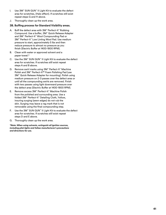- I. Use 3M™ SUN GUN™ II Light Kit to evaluate the defect area for scratches, (Halo effect). If scratches still exist repeat steps G and H above.
- J. Thoroughly clean up the work area.

## **3B. Buffing process for Standard Visibility areas.**

- A. Buff the defect area with 3M™ Perfect-It™ Rubbing Compound. Use a buffer, 3M™ Quick Release Adapter and 3M™ Perfect-It™ Wool Compounding Pad or 3M™ Perfect-It™ Low Linting Wool Pad. Use medium pressure to start, approximately 5 lbs and then reduce pressure to almost no pressure as you finish (Electric Buffer at 1400-1800 RPM).
- B. Clean with water or approved solvent and a paper towel.\*
- C. Use the 3M™ SUN GUN™ II Light Kit to evaluate the defect area for scratches. If scratches still exist repeat steps A and B above.
- D. Remove swirl marks using 3M™ Perfect-It™ Machine Polish and 3M™ Perfect-It™ Foam Polishing Pad (use 3M™ Quick Release Adapter for mounting). Polish using medium pressure on 2-3 passes over the defect area or until all the compounding swirls are removed. Finish with two passes using light downward pressure over the defect area (Electric Buffer at 1400-1800 RPM).
- E. Remove excess 3M™ Perfect-It™ Machine Polish from the polished and surrounding area. Use a folded 3M™ Perfect-It™ Detailing Cloth, Yellow, insuring surging (sewn edges) do not rub the skin. Surging may leave a rag mark that is not removable using the final compounding step.
- F. Use the 3M™ SUN GUN™ II Light Kit to evaluate the defect area for scratches. If scratches still exist repeat steps D and E above.
- G. Thoroughly clean up the work area.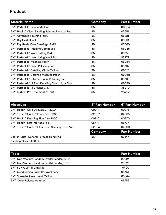## **Product**

| <b>Material Name</b>                                                         | Company | <b>Part Number</b> |
|------------------------------------------------------------------------------|---------|--------------------|
| 3M™ Perfect-It Clean and Shine                                               | 3M      | 06084              |
| 3M™ Hookit™ Clean Sanding Painters Back Up Pad                               | 3M      | 05551              |
| 3M <sup>™</sup> Advanced Finishing Putty                                     | 3M      | 05821              |
| 3M™ Dry Guide Coat                                                           | 3M      | 05861              |
| 3M™ Dry Guide Coat Cartridge, Refill                                         | 3M      | 05860              |
| 3M™ Perfect-It™ Rubbing Compound                                             | 3M      | 06085              |
| 3M™ Perfect-It™ Wool Buffing Pad                                             | 3M      | 05753              |
| 3M™ Perfect-It™ Low Linting Wool Pad                                         | 3M      | 33279              |
| 3M™ Perfect-It™ Machine Polish                                               | 3M      | 06064              |
| 3M <sup>™</sup> Perfect-It <sup>™</sup> Foam Polishing Pad                   | 3M      | 05707              |
| 3M <sup>™</sup> Perfect-It <sup>™</sup> Detailing Cloth, Yellow              | 3M      | 06017              |
| 3M™ Perfect-It™ Ultrafine Machine Polish                                     | 3M      | 06068              |
| 3M <sup>™</sup> Perfect-It <sup>™</sup> Ultrafine Foam Polishing Pad         | 3M      | 05708              |
| 3M <sup>™</sup> Perfect-It <sup>™</sup> III Auto Detailing Cloth, Light Blue | 3M      | 06020              |
| 3M <sup>™</sup> Perfect-It™ III Cleaner Clay                                 | 3M      | 38070              |
| 3M™ Surface Pre-Treatment AC-131                                             | 3M      | Various            |

| <b>Abrasives</b>                                             | <b>3" Part Number</b> | <b>6" Part Number</b> |
|--------------------------------------------------------------|-----------------------|-----------------------|
| 3M™ Hookit™ Gold Disc, 216U-P320A                            | 00914                 | 00975                 |
| 3M™ Trizact™ Hookit™ Foam Disc P3000                         | 02087                 | 02085                 |
| 3M <sup>™</sup> Hookit <sup>™</sup> Finishing Film Disc P800 | 00910                 | 00970                 |
| 3M™ Hookit™ Soft Interface Pad                               | 05771                 | 05777                 |
| 3M™ Trizact™ Hookit™ Clear Coat Sanding Disc P1500           | 02094                 | 02088                 |
|                                                              | Company               | <b>Part Number</b>    |
| Scotch-Brite" General Purpose Hand Pad                       | 3M                    | 07447                 |
| Sanding Block - 400 Grit                                     |                       |                       |

| <b>Tools</b>                                            | <b>Part Number</b> |
|---------------------------------------------------------|--------------------|
| 3M <sup>™</sup> Non-Vacuum Random Orbital Sander, 5/16" | 20324              |
| 3M <sup>™</sup> Non-Vacuum Random Orbital Sander, 3/16" | 20325              |
| 3M™ SUN GUN™ II Light Kit                               | 16400              |
| 3M <sup>™</sup> Conditioning Brush (for wool pads)      | 05761              |
| 3M™ Spreader Assortment, Yellow                         | 05844              |
| 3M™ Quick Release Adapter                               | 05752              |